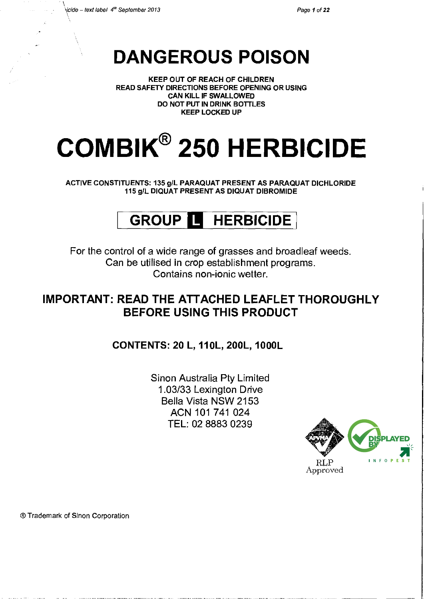$\mathcal{L}$ 

# **DANGEROUS POISON**

KEEP OUT OF REACH OF CHILDREN READ SAFETY DIRECTIONS BEFORE OPENING OR USING CAN KILL IF SWALLOWED DO NOT PUT IN DRINK BOTTLES KEEP LOCKED UP

# **COMBIK® 250 HERBICIDE**

ACTIVE CONSTITUENTS: 135 gil PARAQUAT PRESENT AS PARAQUAT DICHLORIDE 115 gil DIQUAT PRESENT AS DIQUAT DIBROMIDE

# **GROUP II HERBICIDE**

For the control of a wide range of grasses and broadleaf weeds. Can be utilised in crop establishment programs. Contains non-ionic wetter.

# **IMPORTANT: READ THE ATTACHED LEAFLET THOROUGHLY BEFORE USING THIS PRODUCT**

**CONTENTS: 20 L, 110L, 200L, 1000L** 

Sinon Australia Pty Limited 1.03/33 Lexington Drive Bella Vista NSW 2153 ACN 101 741 024 TEL: 02 8883 0239



®Trademark of Sinon Corporation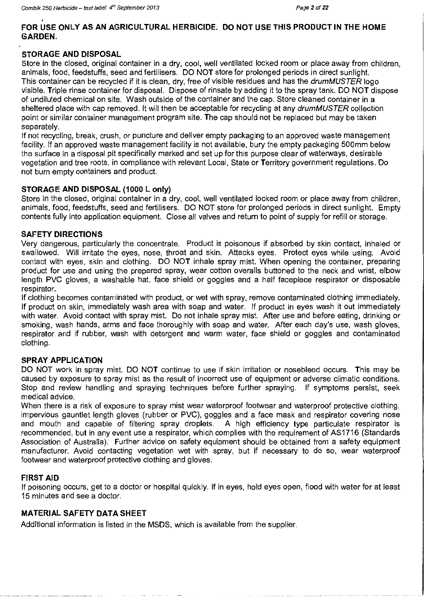#### **FOR USE ONLY AS AN AGRICULTURAL HERBICIDE. DO NOT USE THIS PRODUCT IN THE HOME GARDEN.**

#### **STORAGE AND DISPOSAL**

Store in the closed, original container in a dry, cool, well ventilated locked room or place away from children, animals, food, feedstuffs, seed and fertilisers. DO NOT store for prolonged periods in direct sunlight. This container can be recycled if it is clean, dry, free of visible residues and has the drumMUSTER logo visible. Triple rinse container for disposal. Dispose of rinsate by adding it to the spray tank. DO NOT dispose of undiluted chemical on site. Wash outside of the container and the cap. Store cleaned container in a sheltered place with cap removed. It will then be acceptable for recycling at any drumMUSTER collection point or similar container management program site. The cap should not be replaced but may be taken separately.

If not recycling, break, crush, or puncture and deliver empty packaging to an approved waste management facility. If an approved waste management facility is not available, bury the empty packaging 500mm below the surface in a disposal pit specifically marked and set up for this purpose clear of waterways, desirable vegetation and tree roots, in compliance with relevant Local, State or Territory government regulations. Do not burn empty containers and product.

#### **STORAGE AND DISPOSAL (1000 L only)**

Store in the closed, original container in a dry, cool, well ventilated locked room or place away from children, animals, food, feedstuffs, seed and fertilisers. DO NOT store for prolonged periods in direct sunlight. Empty contents fully into application equipment. Close all valves and return to point of supply for refill or storage.

#### **SAFETY DIRECTIONS**

Very dangerous, particularly the concentrate. Product is poisonous if absorbed by skin contact, inhaled or swallowed. Will irritate the eyes, nose, throat and skin. Attacks eyes. Protect eyes while using. Avoid contact with eyes, skin and clothing. DO NOT inhale spray mist. When opening the container, preparing product for use and using the prepared spray, wear cotton overalls buttoned to the neck and wrist, elbow length PVC gloves, a washable hat, face shield or goggles and a half facepiece respirator or disposable respirator.

If clothing becomes contaminated with product, or wet with spray, remove contaminated clothing immediately. If product on skin, immediately wash area with soap and water. If product in eyes wash it out immediately with water. Avoid contact with spray mist. Do not inhale spray mist. After use and before eating, drinking or smoking, wash hands, arms and face thoroughly with soap and water. After each day's use, wash gloves, respirator and if rubber, wash with detergent and warm water, face shield or goggles and contaminated clothing.

#### **SPRAY APPLICATION**

DO NOT work in spray mist. DO NOT continue to use if skin irritation or nosebleed occurs. This may be caused by exposure to spray mist as the result of incorrect use of equipment or adverse climatic conditions. Stop and review handling and spraying techniques before further spraying. If symptoms persist, seek medical advice.

When there is a risk of exposure to spray mist wear waterproof footwear and waterproof protective clothing, impervious gauntlet length gloves (rubber or PVC), goggles and a face mask and respirator covering nose and mouth and capable of filtering spray droplets. A high efficiency type particulate respirator is recommended, but in any event use a respirator, which complies with the requirement of AS1716 (Standards Association of Australia). Further advice on safety equipment should be obtained from a safety equipment manufacturer. Avoid contacting vegetation wet with spray, but if necessary to do so, wear waterproof footwear and waterproof protective clothing and gloves.

#### **FIRST AID**

If poisoning occurs, get to a doctor or hospital quickly. If in eyes, hold eyes open, flood with water for at least 15 minutes and see a doctor.

#### **MATERIAL SAFETY DATA SHEET**

Additional information is listed in the MSDS, which is available from the supplier.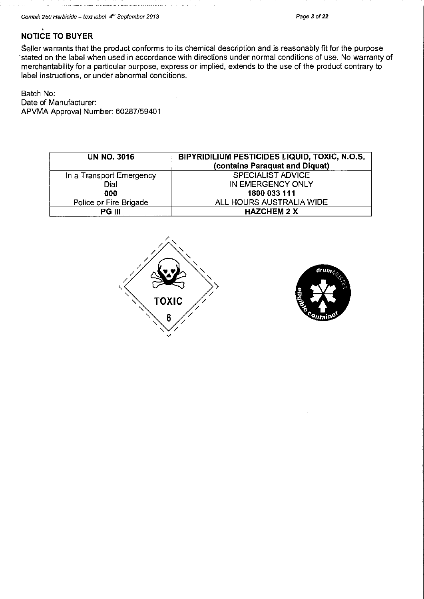# **NOT.ICE TO BUYER**

Seller warrants that the product conforms to its chemical description and is reasonably fit for the purpose 'stated on the label when used in accordance with directions under normal conditions of use. No warranty of merchantability for a particular purpose, express or implied, extends to the use of the product contrary to label instructions, or under abnormal conditions.

Batch No: Date of Manufacturer: APVMA Approval Number: 60287/59401

| <b>UN NO. 3016</b>       | BIPYRIDILIUM PESTICIDES LIQUID, TOXIC, N.O.S.<br>(contains Paraquat and Diquat) |
|--------------------------|---------------------------------------------------------------------------------|
| In a Transport Emergency | <b>SPECIALIST ADVICE</b>                                                        |
| Dial                     | IN EMERGENCY ONLY                                                               |
| 000                      | 1800 033 111                                                                    |
| Police or Fire Brigade   | ALL HOURS AUSTRALIA WIDE                                                        |
| PG III                   | <b>HAZCHEM 2 X</b>                                                              |



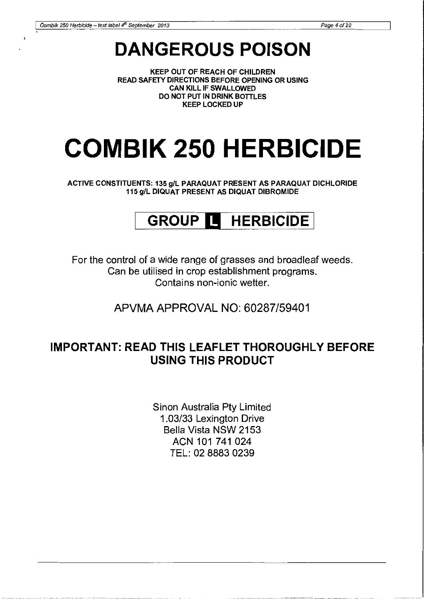# **DANGEROUS POISON**

KEEP OUT OF REACH OF CHILDREN READ SAFETY DIRECTIONS BEFORE OPENING OR USING CAN KILL IF SWALLOWED DO NOT PUT IN DRINK BOTTLES KEEP LOCKED UP

# **COMBIK 250 HERBICIDE**

ACTIVE CONSTITUENTS: 135 gil PARAQUAT PRESENT AS PARAQUAT DICHLORIDE 115 gil DIQUAT PRESENT AS DIQUAT DIBROMIDE

# **GROUP Ill HERBICIDE** <sup>I</sup>

For the control of a wide range of grasses and broadleaf weeds. Can be utilised in crop establishment programs. Contains non-ionic wetter.

APVMA APPROVAL NO: 60287/59401

# **IMPORTANT: READ THIS LEAFLET THOROUGHLY BEFORE USING THIS PRODUCT**

Sinon Australia Pty Limited 1.03/33 Lexington Drive Bella Vista NSW 2153 ACN 101 741 024 TEL: 02 8883 0239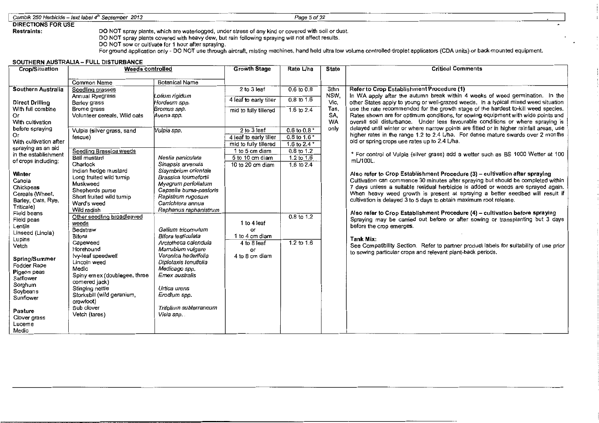#### Combik 250 Herbicide - text label 4<sup>th</sup> September 2013 Page 5 of 22

# DIRECTIONS FOR USE

Restraints: DO NOT spray plants, which are waterlogged, under stress of any kind or covered with soil or dust.

DO NOT spray plants covered with heavy dew, but rain following spraying will not affect results.

DO NOT sow or cultivate for 1 hour after spraying.

For ground application only- DO NOT use through aircraft, misting machines, hand held ultra low volume controlled droplet applicators (CDA units) or back-mounted equipment.

#### SOUTHERN AUSTRALIA - FULL DISTURBANCE

| Crop/Situation               | <b>Weeds controlled</b>                        |                                            | <b>Growth Stage</b>                 | Rate L/ha                    | <b>State</b> | <b>Critical Comments</b>                                                                                                                                              |
|------------------------------|------------------------------------------------|--------------------------------------------|-------------------------------------|------------------------------|--------------|-----------------------------------------------------------------------------------------------------------------------------------------------------------------------|
|                              |                                                |                                            |                                     |                              |              |                                                                                                                                                                       |
| Southern Australia           | <b>Common Name</b>                             | <b>Botanical Name</b>                      | 2 to 3 leaf                         | $0.6$ to $0.8$               | Sthn         | Refer to Crop Establishment Procedure (1)                                                                                                                             |
|                              | Seedling grasses<br>Annual Ryegrass            | Lolium rigidum                             |                                     |                              | NSW.         | In WA apply after the autumn break within 4 weeks of weed germination. In the                                                                                         |
| <b>Direct Drilling</b>       | <b>Barley grass</b>                            | Hordeum spp.                               | 4 leaf to early tiller              | $0.8 \text{ to } 1.6$        | Vic.         | other States apply to young or well-grazed weeds. In a typical mixed weed situation                                                                                   |
| With full combine            | Brome grass                                    | Bromus spp.                                | mid to fully tillered               | 1.6 to $2.4$                 | Tas,         | use the rate recommended for the growth stage of the hardest to-kill weed species.                                                                                    |
| Or                           | Volunteer cereals, Wild oats                   | Avena spp.                                 |                                     |                              | SA,          | Rates shown are for optimum conditions, for sowing equipment with wide points and                                                                                     |
| With cultivation             |                                                |                                            |                                     |                              | <b>WA</b>    | overall soil disturbance. Under less favourable conditions or where spraying is                                                                                       |
| before spraying              | Vulpia (silver grass, sand                     | Vulpia spp.                                | 2 to 3 leaf                         | 0.6 to 0.8 $*$               | only         | delayed until winter or where narrow points are fitted or in higher rainfall areas, use                                                                               |
| Оr<br>With cultivation after | fescue)                                        |                                            | 4 leaf to early tiller              | $0.8$ to 1.6 $*$             |              | higher rates in the range 1.2 to 2.4 L/ha. For dense mature swards over 2 months<br>old or spring crops use rates up to 2.4 L/ha.                                     |
| spraying as an aid           |                                                |                                            | mid to fully tillered               | 1.6 to 2.4 $*$               |              |                                                                                                                                                                       |
| in the establishment         | Seedling Brassica weeds<br><b>Ball mustard</b> |                                            | 1 to 5 cm diam                      | $0.8$ to 1.2                 |              | * For control of Vulpia (silver grass) add a wetter such as BS 1000 Wetter at 100                                                                                     |
| of crops including:          | Charlock                                       | Neslia paniculata<br>Sinapsis arvensis     | 5 to 10 cm diam<br>10 to 20 cm diam | $1.2$ to $1.6$<br>1.6 to 2.4 |              | mL/100L.                                                                                                                                                              |
|                              | Indian hedge mustard                           | Sisymbrium orientale                       |                                     |                              |              |                                                                                                                                                                       |
| Winter                       | Long fruited wild turnip                       | Brassica tournefortii                      |                                     |                              |              | Also refer to Crop Establishment Procedure (3) – cultivation after spraying                                                                                           |
| Canola<br>Chickpeas          | Muskweed                                       | Myagrum perfoliatum                        |                                     |                              |              | Cultivation can commence 30 minutes after spraying but should be completed within<br>7 days unless a suitable residual herbicide is added or weeds are sprayed again. |
| Cereals (Wheat,              | Shepherds purse                                | Capsella bursa-pastoris                    |                                     |                              |              | When heavy weed growth is present at spraying a better seedbed will result if                                                                                         |
| Barley, Oats, Rye,           | Short fruited wild turnip                      | Rapistrum rugosum                          |                                     |                              |              | cultivation is delayed 3 to 5 days to obtain maximum root release.                                                                                                    |
| Triticale)                   | Ward's weed<br>Wild radish                     | Carrichtera annua<br>Raphanus raphanistrum |                                     |                              |              |                                                                                                                                                                       |
| Field beans                  | Other seedling broadleaved                     |                                            |                                     | $0.8 \text{ to } 1.2$        |              | Also refer to Crop Establishment Procedure (4) - cultivation before spraying                                                                                          |
| Field peas                   | weeds                                          |                                            | 1 to 4 leaf                         |                              |              | Spraying may be carried out before or after sowing or transplanting but 3 days                                                                                        |
| Lentils<br>Linseed (Linola)  | Bedstraw                                       | Gallium tricomutum                         | or                                  |                              |              | before the crop emerges.                                                                                                                                              |
| Lupins                       | <b>Bifora</b>                                  | Bifora testiculata                         | 1 to 4 cm diam                      |                              |              | Tank Mix:                                                                                                                                                             |
| Vetch                        | Capeweed                                       | Arctotheca calendula                       | 4 to 8 leaf                         | 1.2 to $1.6$                 |              | See Compatibility Section. Refer to partner product labels for suitability of use prior                                                                               |
|                              | Horehound<br>Ivy-leaf speedwell                | Marrubium vulgare<br>Veronica hederifolia  | OГ<br>4 to 8 cm diam                |                              |              | to sowing particular crops and relevant plant-back periods.                                                                                                           |
| Spring/Summer                | Lincoln weed                                   | Diplotaxis tenuifolia                      |                                     |                              |              |                                                                                                                                                                       |
| Fodder Rape                  | Medic                                          | Medicago spp.                              |                                     |                              |              |                                                                                                                                                                       |
| Pigeon peas<br>Safflower     | Spiny emex (doublegee, three                   | Emex australis                             |                                     |                              |              |                                                                                                                                                                       |
| Sorghum                      | cornered jack)                                 |                                            |                                     |                              |              |                                                                                                                                                                       |
| Soybeans                     | Stinging nettle                                | Urtica urens                               |                                     |                              |              |                                                                                                                                                                       |
| Sunflower                    | Storksbill (wild geranium,<br>crowfoot)        | Erodium spp.                               |                                     |                              |              |                                                                                                                                                                       |
|                              | Sub clover                                     | Trifolium subterraneum                     |                                     |                              |              |                                                                                                                                                                       |
| Pasture                      | Vetch (tares)                                  | Vicia spp. .                               |                                     |                              |              |                                                                                                                                                                       |
| Clover grass<br>Lucerne      |                                                |                                            |                                     |                              |              |                                                                                                                                                                       |
| Medic                        |                                                |                                            |                                     |                              |              |                                                                                                                                                                       |
|                              |                                                |                                            |                                     |                              |              |                                                                                                                                                                       |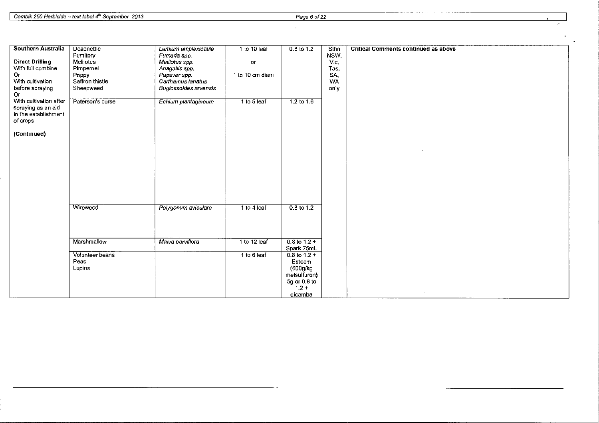| Southern Australia     | Deadnettle       | Lamium amplexicaule   | 1 to 10 leaf    | 0.8 to 1.2            | Sthn      | <b>Critical Comments continued as above</b> |
|------------------------|------------------|-----------------------|-----------------|-----------------------|-----------|---------------------------------------------|
|                        | Fumitory         | Fumaria spp.          |                 |                       | NSW.      |                                             |
| <b>Direct Drilling</b> | Melilotus        | Melilotus spp.        | or              |                       | Vic,      |                                             |
| With full combine      | Pimpernel        | Anagallis spp.        |                 |                       | Tas,      |                                             |
| Or                     | Poppy            | Papaver spp.          | 1 to 10 cm diam |                       | SA,       |                                             |
| With cultivation       | Saffron thistle  | Carthamus lanatus     |                 |                       | <b>WA</b> |                                             |
| before spraying        | Sheepweed        | Buglossoides arvensis |                 |                       | only      |                                             |
| Or.                    |                  |                       |                 |                       |           |                                             |
| With cultivation after | Paterson's curse | Echium plantagineum   | 1 to 5 leaf     | $1.2 \text{ to } 1.6$ |           |                                             |
| spraying as an aid     |                  |                       |                 |                       |           |                                             |
| in the establishment   |                  |                       |                 |                       |           |                                             |
| of crops               |                  |                       |                 |                       |           |                                             |
| (Continued)            |                  |                       |                 |                       |           |                                             |
|                        |                  |                       |                 |                       |           |                                             |
|                        |                  |                       |                 |                       |           |                                             |
|                        |                  |                       |                 |                       |           |                                             |
|                        |                  |                       |                 |                       |           |                                             |
|                        |                  |                       |                 |                       |           |                                             |
|                        |                  |                       |                 |                       |           |                                             |
|                        |                  |                       |                 |                       |           |                                             |
|                        |                  |                       |                 |                       |           |                                             |
|                        |                  |                       |                 |                       |           |                                             |
|                        | Wireweed         | Polygonum aviculare   | 1 to 4 leaf     | 0.8 to 1.2            |           |                                             |
|                        |                  |                       |                 |                       |           |                                             |
|                        |                  |                       |                 |                       |           |                                             |
|                        |                  |                       |                 |                       |           |                                             |
|                        | Marshmallow      | Malva parviflora      | 1 to 12 leaf    | $0.8$ to 1.2 +        |           |                                             |
|                        |                  |                       |                 | Spark 75mL            |           |                                             |
|                        | Volunteer beans  |                       | 1 to 6 leaf     | $0.8$ to 1.2 +        |           |                                             |
|                        | Peas             |                       |                 | Esteem                |           |                                             |
|                        | Lupins           |                       |                 | (600g/kg              |           |                                             |
|                        |                  |                       |                 | metsulfuron)          |           |                                             |
|                        |                  |                       |                 | 5g or 0.8 to          |           |                                             |
|                        |                  |                       |                 | $1.2 +$               |           |                                             |
|                        |                  |                       |                 | dicamba               |           |                                             |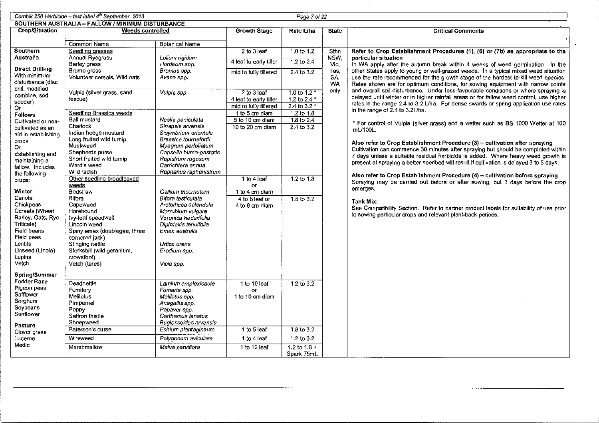|                                        | Combik 250 Herbicide - text label 4 <sup>th</sup> September 2013<br>Page 7 of 22 |                                              |                                                 |                                    |                   |                                                                                                                                                                        |  |  |  |
|----------------------------------------|----------------------------------------------------------------------------------|----------------------------------------------|-------------------------------------------------|------------------------------------|-------------------|------------------------------------------------------------------------------------------------------------------------------------------------------------------------|--|--|--|
|                                        | SOUTHERN AUSTRALIA - FALLOW / MINIMUM DISTURBANCE                                |                                              |                                                 |                                    |                   |                                                                                                                                                                        |  |  |  |
| <b>Crop/Situation</b>                  | Weeds controlled                                                                 |                                              | <b>Growth Stage</b>                             | Rate L/ha                          | <b>State</b>      | <b>Critical Comments</b>                                                                                                                                               |  |  |  |
|                                        | Common Name                                                                      | <b>Botanical Name</b>                        |                                                 |                                    |                   |                                                                                                                                                                        |  |  |  |
| Southern                               | Seedling grasses                                                                 |                                              | 2 to 3 leaf                                     | 1.0 to 1.2                         | Sthn              | Refer to Crop Establishment Procedures (1), (6) or (7b) as appropriate to the                                                                                          |  |  |  |
| Australia                              | Annual Ryegrass                                                                  | Lolium rigidum                               |                                                 |                                    | NSW,              | particular situation                                                                                                                                                   |  |  |  |
|                                        | <b>Barley grass</b>                                                              | Hordeum spp.                                 | 4 leaf to early tiller                          | $1.2$ to $2.4$                     | Vic.              | In WA apply after the autumn break within 4 weeks of weed germination. In the                                                                                          |  |  |  |
| <b>Direct Drilling</b><br>With minimum | Brome grass                                                                      | Bromus spp.                                  | mid to fully tillered                           | $2.4$ to $3.2$                     | Tas.              | other States apply to young or well-grazed weeds. In a typical mixed weed situation                                                                                    |  |  |  |
| disturbance (disc                      | Volunteer cereals, Wild oats                                                     | Avena spp.                                   |                                                 |                                    | SA.               | use the rate recommended for the growth stage of the hardest to-kill weed species.                                                                                     |  |  |  |
| drill, modified                        |                                                                                  |                                              |                                                 |                                    | <b>WA</b><br>only | Rates shown are for optimum conditions, for sowing equipment with narrow points<br>and overall soil disturbance. Under less favourable conditions or where spraying is |  |  |  |
| combine, sod                           | Vulpia (silver grass, sand                                                       | Vulpia spp                                   | 2 to 3 leaf                                     | $1.0$ to $1.2$                     |                   | delayed until winter or in higher rainfall areas or for fallow weed control, use higher                                                                                |  |  |  |
| seeder)                                | fescue)                                                                          |                                              | 4 leaf to early tiller<br>mid to fully tillered | 1.2 to $2.4$ *<br>$2.4$ to $3.2$ * |                   | rates in the range 2.4 to 3.2 L/ha. For dense swards or spring application use rates                                                                                   |  |  |  |
| Or.<br><b>Fallows</b>                  | Seedling Brassica weeds                                                          |                                              | 1 to 5 cm diam                                  | $1.2 \text{ to } 1.8$              |                   | in the range of 2.4 to $3.2$ L/ha.                                                                                                                                     |  |  |  |
| Cultivated or non-                     | <b>Ball mustard</b>                                                              | Neslia paniculata                            | 5 to 10 cm diam                                 | $1.8$ to 2.4                       |                   |                                                                                                                                                                        |  |  |  |
| cultivated as an                       | Charlock                                                                         | Sinapsis arvensis                            | 10 to 20 cm diam                                | $2.4$ to $3.2$                     |                   | * For control of Vulpia (silver grass) add a wetter such as BS 1000 Wetter at 100<br>$mL/100L$ .                                                                       |  |  |  |
| aid in establishing                    | Indian hedge mustard                                                             | Sisymbrium orientale                         |                                                 |                                    |                   |                                                                                                                                                                        |  |  |  |
| <b>Crops</b>                           | Long fruited wild turnip<br>Muskweed                                             | Brassica tournefortii<br>Myagrum perfoliatum |                                                 |                                    |                   | Also refer to Crop Establishment Procedure (3) - cultivation after spraying                                                                                            |  |  |  |
| O۳                                     | Shepherds purse                                                                  | Capsella bursa-pastoris                      |                                                 |                                    |                   | Cultivation can commence 30 minutes after spraying but should be completed within                                                                                      |  |  |  |
| Establishing and<br>maintaining a      | Short fruited wild turnip                                                        | Rapistrum rugosum                            |                                                 |                                    |                   | 7 days unless a suitable residual herbicide is added. Where heavy weed growth is                                                                                       |  |  |  |
| fallow, Includes                       | Ward's weed                                                                      | Carrichtera annua                            |                                                 |                                    |                   | present at spraying a better seedbed will result if cultivation is delayed 3 to 5 days.                                                                                |  |  |  |
| the following                          | Wild radish                                                                      | Raphanus raphanistrum                        |                                                 |                                    |                   | Also refer to Crop Establishment Procedure (4) - cultivation before spraying                                                                                           |  |  |  |
| crops:                                 | Other seedling broadleaved                                                       |                                              | 1 to 4 leaf                                     | 1.2 to $1.8$                       |                   | Spraying may be carried out before or after sowing, but 3 days before the crop                                                                                         |  |  |  |
| Winter                                 | weeds<br>Bedstraw                                                                | Gallium tricornutum                          | or<br>1 to 4 cm diam                            |                                    |                   | emerges.                                                                                                                                                               |  |  |  |
| Canola                                 | <b>Bifora</b>                                                                    | Bifora testiculata                           | 4 to 8 leaf or                                  | $1.8 \text{ to } 3.2$              |                   |                                                                                                                                                                        |  |  |  |
| Chickpeas                              | Capeweed                                                                         | Arctotheca calendula                         | 4 to 8 cm diam                                  |                                    |                   | <b>Tank Mix:</b><br>See Compatibility Section. Refer to partner product labels for suitability of use prior                                                            |  |  |  |
| Cereals (Wheat,                        | Horehound                                                                        | Marrubium vulgare                            |                                                 |                                    |                   | to sowing particular crops and relevant plant-back periods.                                                                                                            |  |  |  |
| Barley, Oats, Rye,                     | Ivy-leaf speedwell                                                               | Veronica hederifolia                         |                                                 |                                    |                   |                                                                                                                                                                        |  |  |  |
| Triticale)<br>Field beans              | Lincoln weed<br>Spiny emex (doublegee, three                                     | Diplotaxis tenuifolia<br>Emex australis      |                                                 |                                    |                   |                                                                                                                                                                        |  |  |  |
| Field peas                             | cornered jack)                                                                   |                                              |                                                 |                                    |                   |                                                                                                                                                                        |  |  |  |
| Lentils                                | Stinging nettle                                                                  | Urtica urens                                 |                                                 |                                    |                   |                                                                                                                                                                        |  |  |  |
| Linseed (Linola)                       | Storksbill (wild geranium,                                                       | Erodium spp.                                 |                                                 |                                    |                   |                                                                                                                                                                        |  |  |  |
| Lupins                                 | crowsfoot)                                                                       |                                              |                                                 |                                    |                   |                                                                                                                                                                        |  |  |  |
| Vetch                                  | Vetch (tares)                                                                    | Vicia spp.                                   |                                                 |                                    |                   |                                                                                                                                                                        |  |  |  |
| Spring/Summer                          |                                                                                  |                                              |                                                 |                                    |                   |                                                                                                                                                                        |  |  |  |
| Fodder Rape                            | Deadnettle                                                                       | Lamium amplexicaule                          | 1 to 10 leaf                                    | 1.2 to $3.2$                       |                   |                                                                                                                                                                        |  |  |  |
| Pigeon peas<br>Safflower               | Fumitory                                                                         | Fumaria spp.                                 | or                                              |                                    |                   |                                                                                                                                                                        |  |  |  |
| Sorghum                                | Melilotus                                                                        | Melilotus spp.                               | 1 to 10 cm diam                                 |                                    |                   |                                                                                                                                                                        |  |  |  |
| Soybeans                               | Pimpernel<br>Poppy                                                               | Anagallis spp.<br>Papaver spp.               |                                                 |                                    |                   |                                                                                                                                                                        |  |  |  |
| Sunflower                              | Saffron thistle                                                                  | Carthamus lanatus                            |                                                 |                                    |                   |                                                                                                                                                                        |  |  |  |
| Pasture                                | Sheepweed                                                                        | Buglossoides arvensis                        |                                                 |                                    |                   |                                                                                                                                                                        |  |  |  |
| Clover grass                           | Paterson's curse                                                                 | Echium plantagineum                          | 1 to 5 leaf                                     | $1.8 \text{ to } 3.2$              |                   |                                                                                                                                                                        |  |  |  |
| Lucerne                                | Wireweed                                                                         | Polygonum aviculare                          | 1 to 4 leaf                                     | $1.2 \text{ to } 3.2$              |                   |                                                                                                                                                                        |  |  |  |
| Medic                                  | Marshmallow                                                                      | Malva parviflora                             | 1 to 12 leaf                                    | 1.2 to $1.8 +$                     |                   |                                                                                                                                                                        |  |  |  |
|                                        |                                                                                  |                                              |                                                 | Spark 75mL                         |                   |                                                                                                                                                                        |  |  |  |

 $\sim$   $\sim$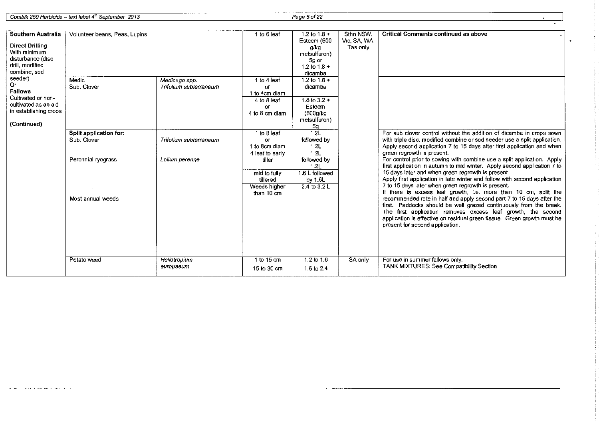<sup>I</sup>Combik 250 Herbicide- text label4<sup>1</sup> h September 2013 Page 8 of22

 $\bar{1}$ 

| Southern Australia<br><b>Direct Drilling</b><br>With minimum<br>disturbance (disc<br>drill, modified<br>combine sod   | Volunteer beans, Peas, Lupins           |                                         | 1 to 6 leaf                                                                      | 1.2 to $1.8 +$<br>Esteem (600<br>g/kg<br>metsulfuron)<br>5g or<br>1.2 to $1.8 +$<br>dicamba | Sthn NSW,<br>Vic, SA, WA<br>Tas only | <b>Critical Comments continued as above</b>                                                                                                                                                                                                                                                                                                                                                                                                                                                                                                                                                                                                                                                                                                 |
|-----------------------------------------------------------------------------------------------------------------------|-----------------------------------------|-----------------------------------------|----------------------------------------------------------------------------------|---------------------------------------------------------------------------------------------|--------------------------------------|---------------------------------------------------------------------------------------------------------------------------------------------------------------------------------------------------------------------------------------------------------------------------------------------------------------------------------------------------------------------------------------------------------------------------------------------------------------------------------------------------------------------------------------------------------------------------------------------------------------------------------------------------------------------------------------------------------------------------------------------|
| seeder)<br><b>Or</b><br>Fallows<br>Cultivated or non-<br>cultivated as an aid<br>in establishing crops<br>(Continued) | Medic<br>Sub. Clover                    | Medicago spp.<br>Trifolium subterraneum | 1 to 4 leaf<br><b>OF</b><br>1 to 4cm diam<br>4 to 8 leaf<br>0Ľ<br>4 to 8 cm diam | 1.2 to $1.8 +$<br>dicamba<br>1.8 to $3.2 -$<br>Esteem<br>(600g/kg)<br>metsulfuron)<br>5g    |                                      |                                                                                                                                                                                                                                                                                                                                                                                                                                                                                                                                                                                                                                                                                                                                             |
|                                                                                                                       | Spilt application for:<br>Sub. Clover   | Trifolium subterraneum                  | 1 to 8 leaf<br>or<br>1 to 8cm diam<br>4 leat to early                            | 1.2 <sub>1</sub><br>followed by<br>1.2L<br>$\overline{1.2}$                                 |                                      | For sub clover control without the addition of dicamba in crops sown<br>with triple disc, modified combine or sod seeder use a split application.<br>Apply second application 7 to 15 days after first application and when<br>green regrowth is present.                                                                                                                                                                                                                                                                                                                                                                                                                                                                                   |
|                                                                                                                       | Perennial ryegrass<br>Most annual weeds | Lolium perenne                          | tiller<br>mid to fully<br>tillered<br>Weeds higher<br>than 10 cm                 | followed by<br>1.2L<br>1.6 L followed<br>by 1.6L<br>$2.4 \text{ to } 3.2 \text{ L}$         |                                      | For control prior to sowing with combine use a split application. Apply<br>first application in autumn to mid winter. Apply second application 7 to<br>15 days later and when green regrowth is present.<br>Apply first application in late winter and follow with second application<br>7 to 15 days later when green regrowth is present.<br>If there is excess leaf growth, i.e. more than 10 cm, split the<br>recommended rate in half and apply second part 7 to 15 days after the<br>first. Paddocks should be well grazed continuously from the break.<br>The first application removes excess leaf growth, the second<br>application is effective on residual green tissue. Green growth must be<br>present for second application. |
|                                                                                                                       | Potato weed                             | Heliotropium                            | 1 to 15 cm                                                                       | 1.2 to 1.6                                                                                  | SA only                              | For use in summer fallows only.                                                                                                                                                                                                                                                                                                                                                                                                                                                                                                                                                                                                                                                                                                             |
|                                                                                                                       |                                         | europaeum                               | 15 to 30 cm                                                                      | 1.6 to 2.4                                                                                  |                                      | TANK MIXTURES: See Compatibility Section                                                                                                                                                                                                                                                                                                                                                                                                                                                                                                                                                                                                                                                                                                    |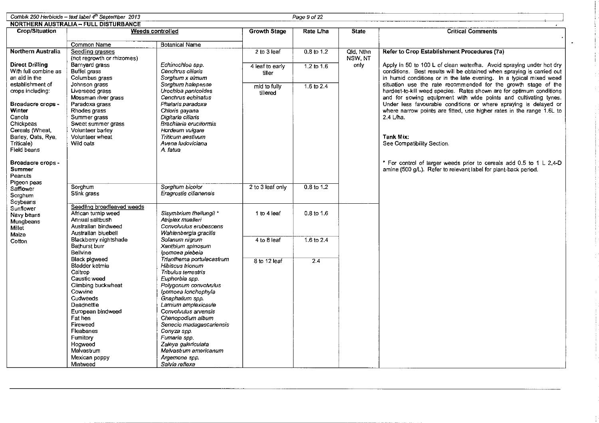|                                   | Cornbik 250 Herbicide - text label $4^{th}$ September 2013 |                                                 |                  | Page 9 of 22 |              |                                                                                                                                        |
|-----------------------------------|------------------------------------------------------------|-------------------------------------------------|------------------|--------------|--------------|----------------------------------------------------------------------------------------------------------------------------------------|
|                                   | <b>NORTHERN AUSTRALIA - FULL DISTURBANCE</b>               |                                                 |                  |              |              |                                                                                                                                        |
| <b>Crop/Situation</b>             |                                                            | <b>Weeds controlled</b>                         | Growth Stage     | Rate L/ha    | <b>State</b> | <b>Critical Comments</b>                                                                                                               |
|                                   |                                                            |                                                 |                  |              |              |                                                                                                                                        |
|                                   | Common Name                                                | <b>Botanical Name</b>                           |                  |              |              |                                                                                                                                        |
| Northern Australia                | Seedling grasses                                           |                                                 | 2 to 3 leaf      | $0.8$ to 1.2 | Qld, Nthn    | Refer to Crop Establishment Procedures (7a)                                                                                            |
|                                   | (not regrowth or rhizomes)                                 |                                                 |                  |              | NSW. NT      |                                                                                                                                        |
| <b>Direct Drilling</b>            | Barnvard grass                                             | Echinochloa spp.                                | 4 leaf to early  | 1.2 to $1.6$ | опіу         | Apply in 50 to 100 L of clean water/ha. Avoid spraying under hot dry                                                                   |
| With full combine as              | Buffel grass                                               | Cenchrus ciliaris                               | tiller           |              |              | conditions. Best results will be obtained when spraying is carried out                                                                 |
| an aid in the<br>establishment of | Columbus grass                                             | Sorghum x almum                                 |                  |              |              | in humid conditions or in the late evening. In a typical mixed weed<br>situation use the rate recommended for the growth stage of the  |
| crops including:                  | Johnson grass<br>Liverseed grass                           | Sorghum halepense<br>Urochioa panicoides        | mid to fully     | 1.6 to 2.4   |              | hardest-to-kill weed species. Rates shown are for optimum conditions                                                                   |
|                                   | Mossman river grass                                        | Cenchrus echinatus                              | tillered         |              |              | and for sowing equipment with wide points and cultivating tynes.                                                                       |
| Broadacre crops -                 | Paradoxa grass                                             | Phalaris paradoxa                               |                  |              |              | Under less favourable conditions or where spraying is delayed or                                                                       |
| Winter                            | Rhodes grass                                               | Chloris gayana                                  |                  |              |              | where narrow points are fitted, use higher rates in the range 1.6L to                                                                  |
| Canola                            | Summer grass                                               | Digitaria cilians                               |                  |              |              | $2.4$ L/ha.                                                                                                                            |
| Chickpeas                         | Sweet summer grass                                         | Brachiaria eruciformis                          |                  |              |              |                                                                                                                                        |
| Cereals (Wheat                    | Volunteer barley                                           | Hordeum vulgare                                 |                  |              |              |                                                                                                                                        |
| Barley, Oats, Rye,                | Volunteer wheat                                            | Triticum aestivum                               |                  |              |              | <b>Tank Mix:</b>                                                                                                                       |
| Triticale)                        | Wild oats                                                  | Avena Iudoviciana                               |                  |              |              | See Compatibility Section.                                                                                                             |
| Field beans                       |                                                            | A. fatua                                        |                  |              |              |                                                                                                                                        |
|                                   |                                                            |                                                 |                  |              |              |                                                                                                                                        |
| Broadacre crops -<br>Summer       |                                                            |                                                 |                  |              |              | * For control of larger weeds prior to cereals add 0.5 to 1 L 2,4-D<br>amine (500 g/L). Refer to relevant label for plant-back period. |
| Peanuts                           |                                                            |                                                 |                  |              |              |                                                                                                                                        |
| Pigeon peas                       |                                                            |                                                 |                  |              |              |                                                                                                                                        |
| Safflower                         | Sorghum                                                    | Sorghum bicolor                                 | 2 to 3 leaf only | 0.8 to 1.2   |              |                                                                                                                                        |
| Sorghum                           | Stink grass                                                | Eragrostis cilianensis                          |                  |              |              |                                                                                                                                        |
| Sovbeans                          |                                                            |                                                 |                  |              |              |                                                                                                                                        |
| Sunflower                         | Seedling broadleaved weeds                                 |                                                 |                  |              |              |                                                                                                                                        |
| Navy beans                        | African turnip weed                                        | Sisymbrium thellungii *                         | 1 to 4 leaf      | $0.8$ to 1.6 |              |                                                                                                                                        |
| Mungbeans                         | Annual saltbush                                            | Atribiex muelleri                               |                  |              |              |                                                                                                                                        |
| Millet                            | Australian bindweed<br>Australian bluebell                 | Convolvulus erubescens<br>Wahienbergia gracilis |                  |              |              |                                                                                                                                        |
| Maize                             | Blackberry nightshade                                      | Solanum nigrum                                  | 4 to 8 leaf      | 1.6 to 2.4   |              |                                                                                                                                        |
| Cotton                            | Bathurst burr                                              | Xanthium spinosum                               |                  |              |              |                                                                                                                                        |
|                                   | Bellvine                                                   | lpomoea plebela                                 |                  |              |              |                                                                                                                                        |
|                                   | <b>Black pigweed</b>                                       | Triantherna portulacastrum                      | 8 to 12 leaf     | 24           |              |                                                                                                                                        |
|                                   | Bladder ketmia                                             | <b>Hibiscus trionum</b>                         |                  |              |              |                                                                                                                                        |
|                                   | Caltrop                                                    | Tribulus terrestris                             |                  |              |              |                                                                                                                                        |
|                                   | Caustic weed                                               | Euphorbia spp.                                  |                  |              |              |                                                                                                                                        |
|                                   | Climbing buckwheat                                         | Polygonum convolvulus                           |                  |              |              |                                                                                                                                        |
|                                   | Cowvine                                                    | Ipomoea Ionchophyla                             |                  |              |              |                                                                                                                                        |
|                                   | Cudweeds                                                   | Gnaphalium spp.                                 |                  |              |              |                                                                                                                                        |
|                                   | Deadnettle                                                 | Lamium amplexicaule<br>Convolvulus arvensis     |                  |              |              |                                                                                                                                        |
|                                   | European bindweed<br>Fat hen                               | Chenopodium album                               |                  |              |              |                                                                                                                                        |
|                                   | Fireweed                                                   | Senecio madagascariensis                        |                  |              |              |                                                                                                                                        |
|                                   | Fleabanes                                                  | Conyza spp.                                     |                  |              |              |                                                                                                                                        |
|                                   | Furnitory                                                  | Fumaria spp.                                    |                  |              |              |                                                                                                                                        |
|                                   | Hoaweed                                                    | Zaleya galericulata                             |                  |              |              |                                                                                                                                        |
|                                   | Malvastrum                                                 | Malvastrum americanum                           |                  |              |              |                                                                                                                                        |
|                                   | Mexican poppy                                              | Argemone spp.                                   |                  |              |              |                                                                                                                                        |
|                                   | Mintweed                                                   | Salvia reflexa                                  |                  |              |              |                                                                                                                                        |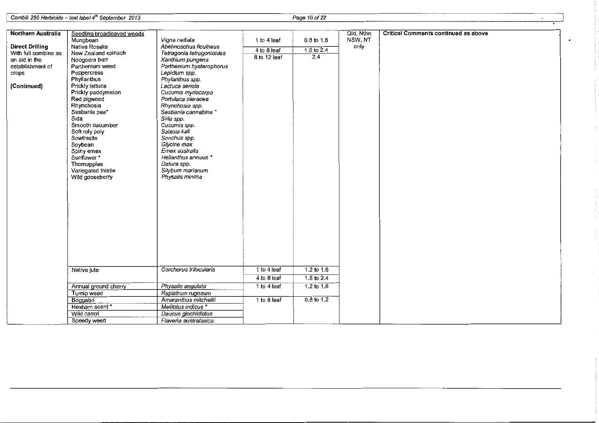Combik 250 Herbicide- text label4<sup>1</sup> h September 2013 Page 10 of 22

| <b>Northern Australia</b> | Seedling broadleaved weeds<br>Mungbean | Vigna radiata             | 1 to 4 leaf  | $0.8$ to $1.6$        | Qld, Nthn<br>NSW, NT | <b>Critical Comments continued as above</b> |
|---------------------------|----------------------------------------|---------------------------|--------------|-----------------------|----------------------|---------------------------------------------|
| <b>Direct Drilling</b>    | Native Rosella                         | Abelmoschus ficulneus     |              |                       | only                 |                                             |
| With full combine as      | New Zealand spinach                    | Tetragonia tetragonioides | 4 to 8 leaf  | 1.6 to 2.4            |                      |                                             |
| an aid in the             | Noogoora burr                          | Xanthium pungens          | 8 to 12 leaf | 2.4                   |                      |                                             |
| establishment of          | Parthenium weed                        | Parthenium hysterophorus  |              |                       |                      |                                             |
| crops                     | Peppercress                            | Lepidium spp.             |              |                       |                      |                                             |
|                           | Phyllanthus                            | Phylanthus spp.           |              |                       |                      |                                             |
| (Continued)               | Prickly lettuce                        | Lactuca seriola           |              |                       |                      |                                             |
|                           | Prickly paddymeion                     | Cucumis myriocarpa        |              |                       |                      |                                             |
|                           |                                        | Portulaca oleracea        |              |                       |                      |                                             |
|                           | Red pigweed                            | Rhynchosia spp.           |              |                       |                      |                                             |
|                           | Rhynchosia<br>Sesbania pea*            | Sesbania cannabina *      |              |                       |                      |                                             |
|                           | Sida                                   | Sida spp.                 |              |                       |                      |                                             |
|                           | Smooth cucumber                        | Cucumis spp.              |              |                       |                      |                                             |
|                           |                                        | Salsola kali              |              |                       |                      |                                             |
|                           | Soft roly poly<br>Sowthistle           | Sonchus spp.              |              |                       |                      |                                             |
|                           | Soybean                                | Glycine max               |              |                       |                      |                                             |
|                           |                                        | Emex australis            |              |                       |                      |                                             |
|                           | Spiny emex<br>Sunflower*               | Helianthus annuus *       |              |                       |                      |                                             |
|                           | Thomapples                             | Datura spp.               |              |                       |                      |                                             |
|                           |                                        | Silybum marianum          |              |                       |                      |                                             |
|                           | Variegated thistle<br>Wild gooseberry  | Physalis minima           |              |                       |                      |                                             |
|                           |                                        |                           |              |                       |                      |                                             |
|                           |                                        |                           |              |                       |                      |                                             |
|                           |                                        |                           |              |                       |                      |                                             |
|                           |                                        |                           |              |                       |                      |                                             |
|                           |                                        |                           |              |                       |                      |                                             |
|                           |                                        |                           |              |                       |                      |                                             |
|                           |                                        |                           |              |                       |                      |                                             |
|                           |                                        |                           |              |                       |                      |                                             |
|                           |                                        |                           |              |                       |                      |                                             |
|                           |                                        |                           |              |                       |                      |                                             |
|                           |                                        |                           |              |                       |                      |                                             |
|                           |                                        |                           |              |                       |                      |                                             |
|                           |                                        |                           |              |                       |                      |                                             |
|                           | Native jute                            | Corchorus trilocularis    | 1 to 4 leaf  | $1.2 \text{ to } 1.6$ |                      |                                             |
|                           |                                        |                           | 4 to 8 leaf  | 1.6 to $2.4$          |                      |                                             |
|                           | Annual ground cherry                   | Physalis angulata         | 1 to 4 leaf  | $1.2 \text{ to } 1.6$ |                      |                                             |
|                           | Turnip weed                            | Rapistrum rugosum         |              |                       |                      |                                             |
|                           | Boggabri                               | Amaranthus mitchelli      | 1 to 8 leaf  | $0.8$ to 1.2          |                      |                                             |
|                           | Hexham scent*                          | Melilotus indicus *       |              |                       |                      |                                             |
|                           | Wild carrot                            | Daucus glochidiatus       |              |                       |                      |                                             |
|                           | Speedy weed                            | Flaveria australasica     |              |                       |                      |                                             |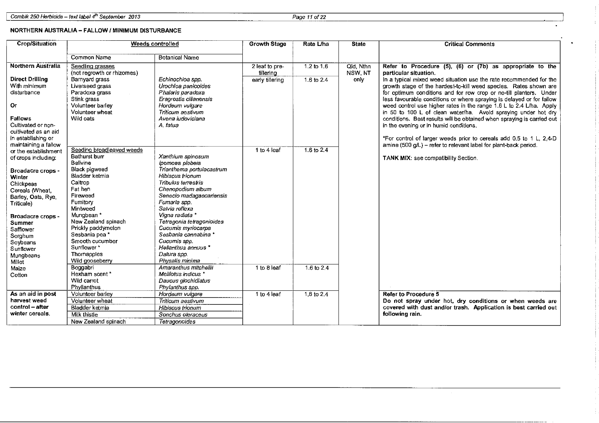Combik 250 Herbicide – text label 4<sup>th</sup> September 2013 **Page 11 of 22** Assembly 2014 **Page 11 of 22** Assembly 2014

#### NORTHERN AUSTRALIA- FALLOW I MINIMUM DISTURBANCE

| Crop/Situation                                                                                                                                                                                                          |                                                                                                                                                                                                                                                                   | Weeds controlled                                                                                                                                                                                                                                                                                                                     | <b>Growth Stage</b>                            | Rate L/ha                      | <b>State</b>                 | <b>Critical Comments</b>                                                                                                                                                                                                                                                                                                                                                                                                                                                                                              |  |
|-------------------------------------------------------------------------------------------------------------------------------------------------------------------------------------------------------------------------|-------------------------------------------------------------------------------------------------------------------------------------------------------------------------------------------------------------------------------------------------------------------|--------------------------------------------------------------------------------------------------------------------------------------------------------------------------------------------------------------------------------------------------------------------------------------------------------------------------------------|------------------------------------------------|--------------------------------|------------------------------|-----------------------------------------------------------------------------------------------------------------------------------------------------------------------------------------------------------------------------------------------------------------------------------------------------------------------------------------------------------------------------------------------------------------------------------------------------------------------------------------------------------------------|--|
|                                                                                                                                                                                                                         | <b>Common Name</b>                                                                                                                                                                                                                                                | <b>Botanical Name</b>                                                                                                                                                                                                                                                                                                                |                                                |                                |                              |                                                                                                                                                                                                                                                                                                                                                                                                                                                                                                                       |  |
| <b>Northern Australia</b><br><b>Direct Drilling</b><br>With minimum<br>disturbance<br>Or                                                                                                                                | Seedling grasses<br>(not regrowth or rhizomes)<br>Barnyard grass<br>Liverseed grass<br>Paradoxa grass<br>Stink grass<br>Volunteer barley<br>Volunteer wheat                                                                                                       | Echinochloa spp.<br>Urochloa panicoides<br>Phalaris paradoxa<br>Eragrostis cilianensis<br>Hordeum vulgare<br>Triticum aestivum                                                                                                                                                                                                       | 2 leaf to pre-<br>tillering<br>early tillering | $1.2$ to $1.6$<br>1.6 to $2.4$ | Qld, Nthn<br>NSW, NT<br>only | Refer to Procedure (5), (6) or (7b) as appropriate to the<br>particular situation.<br>In a typical mixed weed situation use the rate recommended for the<br>growth stage of the hardest-to-kill weed species. Rates shown are<br>for optimum conditions and for row crop or no-till planters. Under<br>less favourable conditions or where spraying is delayed or for fallow<br>weed control use higher rates in the range 1.6 L to 2.4 L/ha. Apply<br>in 50 to 100 L of clean water/ha. Avoid spraying under hot dry |  |
| Fallows<br>Cultivated or non-<br>cultivated as an aid<br>in establishing or<br>maintaining a fallow                                                                                                                     | Wild oats                                                                                                                                                                                                                                                         | Avena Iudoviciana<br>A. fatua                                                                                                                                                                                                                                                                                                        |                                                |                                |                              | conditions. Best results will be obtained when spraying is carried out<br>in the evening or in humid conditions.<br>*For control of larger weeds prior to cereals add 0.5 to 1 L, 2,4-D<br>amine (500 g/L) - refer to relevant label for plant-back period.                                                                                                                                                                                                                                                           |  |
| or the establishment<br>of crops including:<br>Broadacre crops -<br>Winter<br>Chickpeas<br>Cereals Wheat.<br>Barley, Oats, Rye,<br>Triticale)<br>Broadacre crops -<br><b>Summer</b><br>Safflower<br>Sorghum<br>Soybeans | Seeding broadleaved weeds<br>Bathurst burr<br>Bellvine<br>Black pigweed<br>Bladder ketmia<br>Caltrop<br>Fat hen<br>Fireweed<br>Fumitory<br>Mintweed<br>Mungbean *<br>New Zealand spinach<br>Prickly paddymelon<br>Sesbania pea*<br>Smooth cucumber<br>Sunflower * | Xanthium spinosum<br>lpomoea plebeia<br>Trianthema portulacastrum<br>Hibiscus trionum<br>Tribulus terrestris<br>Chenopodium album<br>Senecio madagascariensis<br>Fumaria spp.<br>Salvia reflexa<br>Vigna radiata *<br>Tetragonia tetragonioides<br>Cucumis myriocarpa<br>Sesbania cannabina *<br>Cucumis spp.<br>Helianthus annuus * | 1 to 4 leaf                                    | 1.6 to 2.4                     |                              | TANK MIX: see compatibility Section.                                                                                                                                                                                                                                                                                                                                                                                                                                                                                  |  |
| Sunflower<br>Mungbeans<br>Millet<br>Maize<br>Cotton                                                                                                                                                                     | Thornapples<br>Wild gooseberry<br>Boggabri<br>Hexham scent*<br>Wild carrot<br>Phyllanthus                                                                                                                                                                         | Datura spp.<br>Physalis minima<br>Amaranthus mitchellii<br>Melilotus indicus *<br>Daucus glochidiatus<br>Phylanthus spp.                                                                                                                                                                                                             | 1 to 8 leaf                                    | $16t_{0}2.4$                   |                              |                                                                                                                                                                                                                                                                                                                                                                                                                                                                                                                       |  |
| As an aid in post<br>harvest weed<br>control - after<br>winter cereals.                                                                                                                                                 | Volunteer barlev<br>Volunteer wheat<br>Bladder ketmia<br>Milk thistle<br>New Zealand spinach                                                                                                                                                                      | Hordeum vulgare<br>Triticum aestivum<br><b>Hibiscus trionum</b><br>Sonchus oleraceus<br>Tetragonoides                                                                                                                                                                                                                                | 1 to 4 leaf                                    | 1.6 to 2.4                     |                              | Refer to Procedure 5<br>Do not spray under hot, dry conditions or when weeds are<br>covered with dust and/or trash. Application is best carried out<br>following rain.                                                                                                                                                                                                                                                                                                                                                |  |

 $\frac{1}{2}$  $\sim$ 

 $\frac{1}{2}$ 

 $\sim$ ÷,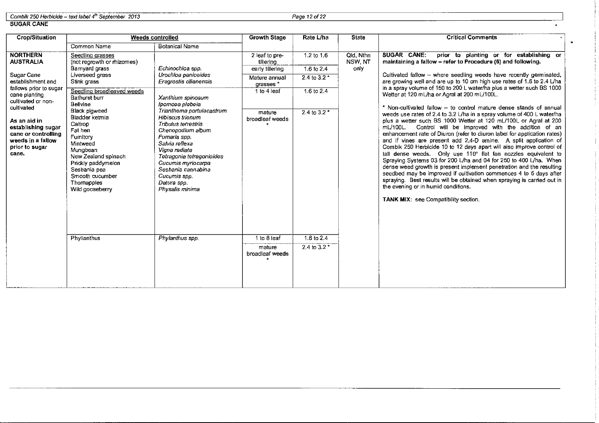Combik 250 Herbicide - text label *4th* September 2013 Page 12of22

SUGAR CANE

| <b>Crop/Situation</b>                                                                                                   |                                                                                                                                                                                                                    | <b>Weeds controlled</b>                                                                                                                                                                                                                                                 | <b>Growth Stage</b>                      | Rate L/ha                   | <b>State</b>        | <b>Critical Comments</b>                                                                                                                                                                                                                                                                                                                                                                                                                                                                                                                                                                                                                                                                                                                                                                                                                                                                                                                                 |
|-------------------------------------------------------------------------------------------------------------------------|--------------------------------------------------------------------------------------------------------------------------------------------------------------------------------------------------------------------|-------------------------------------------------------------------------------------------------------------------------------------------------------------------------------------------------------------------------------------------------------------------------|------------------------------------------|-----------------------------|---------------------|----------------------------------------------------------------------------------------------------------------------------------------------------------------------------------------------------------------------------------------------------------------------------------------------------------------------------------------------------------------------------------------------------------------------------------------------------------------------------------------------------------------------------------------------------------------------------------------------------------------------------------------------------------------------------------------------------------------------------------------------------------------------------------------------------------------------------------------------------------------------------------------------------------------------------------------------------------|
|                                                                                                                         | Common Name                                                                                                                                                                                                        | <b>Botanical Name</b>                                                                                                                                                                                                                                                   |                                          |                             |                     |                                                                                                                                                                                                                                                                                                                                                                                                                                                                                                                                                                                                                                                                                                                                                                                                                                                                                                                                                          |
| <b>NORTHERN</b><br><b>AUSTRALIA</b>                                                                                     | Seedling grasses<br>(not regrowth or rhizomes)                                                                                                                                                                     |                                                                                                                                                                                                                                                                         | 2 leaf to pre-<br>tillering              | 1.2 to 1.6                  | Qld, Nthn<br>NSW NT | SUGAR CANE:<br>prior to planting or for establishing or<br>maintaining a fallow - refer to Procedure (6) and following.                                                                                                                                                                                                                                                                                                                                                                                                                                                                                                                                                                                                                                                                                                                                                                                                                                  |
|                                                                                                                         | Bamvard grass                                                                                                                                                                                                      | Echinochloa sop.                                                                                                                                                                                                                                                        | early tillering                          | 1.6 to 2.4                  | only                |                                                                                                                                                                                                                                                                                                                                                                                                                                                                                                                                                                                                                                                                                                                                                                                                                                                                                                                                                          |
| Sugar Cane<br>establishment and<br>fallows prior to sugar                                                               | Liverseed grass<br>Stink grass                                                                                                                                                                                     | Urochloa panicoides<br>Eragrostis cilianensis                                                                                                                                                                                                                           | Mature annual<br>grasses *               | 2.4 to 3.2                  |                     | Cultivated fallow - where seedling weeds have recently germinated,<br>are growing well and are up to 10 cm high use rates of 1.6 to 2.4 L/ha<br>in a spray volume of 150 to 200 L water/ha plus a wetter such BS 1000                                                                                                                                                                                                                                                                                                                                                                                                                                                                                                                                                                                                                                                                                                                                    |
| cane planting<br>cultivated or non-                                                                                     | Seedling broadleaved weeds<br>Bathurst burr<br>Bellvine                                                                                                                                                            | Xanthium spinosum<br>lpomoea piebeia                                                                                                                                                                                                                                    | 1 to 4 leaf                              | 1.6 to 2.4                  |                     | Wetter at 120 mL/ha or Agral at 200 mL/100L.                                                                                                                                                                                                                                                                                                                                                                                                                                                                                                                                                                                                                                                                                                                                                                                                                                                                                                             |
| cultivated<br>As an aid in<br>establishing sugar<br>cane or controlling<br>weeds in a fallow<br>prior to sugar<br>cane. | <b>Black pigweed</b><br>Bladder ketmia<br>Caltrop<br>Fat hen<br>Fumitory<br>Mintweed<br>Mungbean<br>New Zealand spinach<br>Prickly paddymelon<br>Sesbania pea<br>Smooth cucumber<br>Thornapples<br>Wild gooseberry | Trianthema portulacastrum<br>Hibiscus trionum<br>Tribulus terrestris<br>Chenopodium album<br>Fumaria spp.<br>Salvia reflexa<br>Vigna radiata<br>Tetragonia tetragonioides<br>Cucumis myriocarpa<br>Sesbania cannabina<br>Cucumis spp.<br>Datura sop.<br>Physalis minima | mature<br>broadleaf weeds                | 2.4 to 3.2 *                |                     | * Non-cultivated fallow - to control mature dense stands of annual<br>weeds use rates of 2.4 to 3.2 L/ha in a spray volume of 400 L water/ha<br>plus a wetter such BS 1000 Wetter at 120 mL/100L or Agral at 200<br>Control will be improved with the addition of an<br>mL/100L.<br>enhancement rate of Diuron (refer to diuron label for application rates)<br>and if vines are present add 2,4-D amine. A split application of<br>Combik 250 Herbicide 10 to 12 days apart will also improve control of<br>tall dense weeds. Only use 110° flat fan nozzles equivalent to<br>Spraving Systems 03 for 200 L/ha and 04 for 250 to 400 L/ha. When<br>dense weed growth is present implement penetration and the resulting<br>seedbed may be improved if cultivation commences 4 to 5 days after<br>spraying. Best results will be obtained when spraying is carried out in<br>the evening or in humid conditions.<br>TANK MIX: see Compatibility section. |
|                                                                                                                         | Phyllanthus                                                                                                                                                                                                        | Phylanthus spp.                                                                                                                                                                                                                                                         | 1 to 8 leaf<br>mature<br>broadleaf weeds | 1.6 to 2.4<br>2.4 to $3.2*$ |                     |                                                                                                                                                                                                                                                                                                                                                                                                                                                                                                                                                                                                                                                                                                                                                                                                                                                                                                                                                          |

 $\sim 10^{-1}$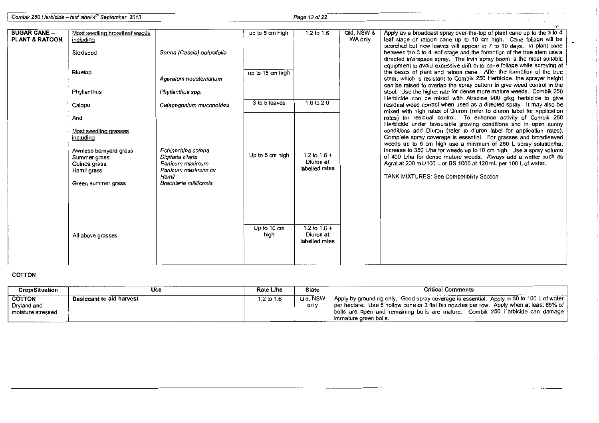Combik 250 Herbicide - text label 4<sup>th</sup> September 2013

Page 13 of 22

 $\frac{1}{2}$ 

 $\cdot$ 

| <b>SUGAR CANE -</b>       | Most seedling broadleaf weeds          |                                         | up to 5 cm high  | 1.2 to 1.6                  | Qld, NSW & | Apply as a broadcast spray over-the-top of plant cane up to the 3 to 4                                                                         |
|---------------------------|----------------------------------------|-----------------------------------------|------------------|-----------------------------|------------|------------------------------------------------------------------------------------------------------------------------------------------------|
| <b>PLANT &amp; RATOON</b> | including                              |                                         |                  |                             | WA only    | leaf stage or ratoon cane up to 10 cm high. Cane foliage will be<br>scorched but new leaves will appear in 7 to 10 days. In plant cane         |
|                           | Sicklepod                              | Senna (Cassia) obtusifolia              |                  |                             |            | between the 3 to 4 leaf stage and the formation of the true stem use a                                                                         |
|                           |                                        |                                         |                  |                             |            | directed interspace spray. The Irvin spray boom is the most suitable<br>equipment to avoid excessive drift onto cane foliage while spraying at |
|                           | Bluetop                                |                                         | up to 15 cm high |                             |            | the bases of plant and ratoon cane. After the formation of the true                                                                            |
|                           |                                        | Ageratum houstonianum                   |                  |                             |            | stem, which is resistant to Combik 250 Herbicide, the sprayer height<br>can be raised to overlap the spray pattern to give weed control in the |
|                           | Phyllanthus                            | Phyllanthus spp.                        |                  |                             |            | stool. Use the higher rate for dense more mature weeds. Combik 250<br>Herbicide can be mixed with Atrazine 900 g/kg herbicide to give          |
|                           | Calopo                                 | Calapogonium muconoides                 | 3 to 5 leaves    | $1.6 \text{ to } 2.0$       |            | residual weed control when used as a directed spray. It may also be<br>mixed with high rates of Diuron (refer to diuron label for application  |
|                           | And                                    |                                         |                  |                             |            | rates) for residual control. To enhance activity of Combik 250<br>Herbicide under favourable growing conditions and in open sunny              |
|                           | Most seedling grasses<br>including     |                                         |                  |                             |            | conditions add Diuron (refer to diuron label for application rates).<br>Complete spray coverage is essential. For grasses and broadleaved      |
|                           |                                        |                                         |                  |                             |            | weeds up to 5 cm high use a minimum of 250 L spray solution/ha,                                                                                |
|                           | Awnless barnyard grass<br>Summer grass | Echinochloa colona<br>Digitaria cilaris | Up to 5 cm high  | 1.2 to $1.6 +$              |            | increase to 350 L/ha for weeds up to 10 cm high. Use a spray volume<br>of 400 L/ha for dense mature weeds. Always add a wetter such as         |
|                           | Guinea grass                           | Panicum maximum                         |                  | Diuron at<br>labelled rates |            | Agral at 200 mL/100 L or BS 1000 at 120 mL per 100 L of water.                                                                                 |
|                           | Hamil grass                            | Panicum maximum cv<br>Hamil             |                  |                             |            | TANK MIXTURES: See Compatibility Section                                                                                                       |
|                           | Green summer grass                     | Brachiaria miliiformis                  |                  |                             |            |                                                                                                                                                |
|                           |                                        |                                         |                  |                             |            |                                                                                                                                                |
|                           |                                        |                                         |                  |                             |            |                                                                                                                                                |
|                           |                                        |                                         |                  |                             |            |                                                                                                                                                |
|                           |                                        |                                         | Up to 10 cm      | 1.2 to $1.6 +$<br>Diuron at |            |                                                                                                                                                |
|                           | All above grasses                      |                                         | high             | labelled rates              |            |                                                                                                                                                |
|                           |                                        |                                         |                  |                             |            |                                                                                                                                                |
|                           |                                        |                                         |                  |                             |            |                                                                                                                                                |

#### COTTON

| <b>Crop/Situation</b>                             | Use                      | Rate L/ha  | <b>State</b>     | <b>Critical Comments</b>                                                                                                                                                                                                                                                                                             |
|---------------------------------------------------|--------------------------|------------|------------------|----------------------------------------------------------------------------------------------------------------------------------------------------------------------------------------------------------------------------------------------------------------------------------------------------------------------|
| <b>COTTON</b><br>Dryland and<br>moisture stressed | Desiccant to aid harvest | 1.2 to 1.6 | Qld. NSW<br>only | $\degree$ Apply by ground rig only. Good spray coverage is essential. Apply in 50 to 100 L of water $\degree$<br>per hectare. Use 5 hollow cone or 3 flat fan nozzles per row. Apply when at least 85% of<br>bolls are open and remaining bolls are mature. Combik 250 Herbicide can damage<br>immature green bolls. |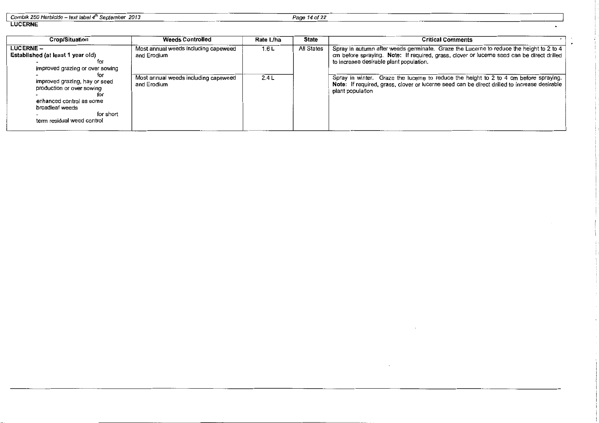| Combik 250 Herbicide - text label 4 <sup>th</sup> September 2013 |  |  |
|------------------------------------------------------------------|--|--|
|                                                                  |  |  |

Page 14 of 22

 $\blacksquare$ 

#### LUCERNE

| <b>Crop/Situation</b>                                                                                                                                       | <b>Weeds Controlled</b>                             | Rate L/ha | State      | <b>Critical Comments</b>                                                                                                                                                                                                        |
|-------------------------------------------------------------------------------------------------------------------------------------------------------------|-----------------------------------------------------|-----------|------------|---------------------------------------------------------------------------------------------------------------------------------------------------------------------------------------------------------------------------------|
| $LUCERNE -$<br><b>Established (at least 1 year old)</b><br>improved grazing or over sowing                                                                  | Most annual weeds including capeweed<br>and Erodium | 1.6L      | All States | Spray in autumn after weeds germinate. Graze the Lucerne to reduce the height to 2 to 4<br>cm before spraying. Note: If required, grass, clover or luceme seed can be direct drilled<br>to increase desirable plant population. |
| tor<br>improved grazing, hay or seed<br>production or over sowing<br>enhanced control as some<br>broadleaf weeds<br>for short<br>term residual weed control | Most annual weeds including capeweed<br>and Erodium | 2.4L      |            | Spray in winter. Graze the lucerne to reduce the height to 2 to 4 cm before spraying.<br>Note: If required, grass, clover or lucerne seed can be direct drilled to increase desirable<br>plant population                       |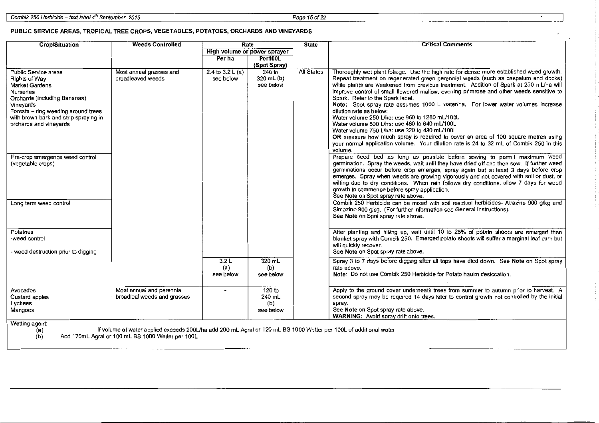$\cdot$ 

#### PUBLIC SERVICE AREAS, TROPICAL TREE CROPS, VEGETABLES, POTATOES, ORCHARDS AND VINEYARDS

| Crop/Situation<br>Rate<br><b>Weeds Controlled</b>                                                                                                                                                                                  |                                                          |                                | <b>State</b>                         | <b>Critical Comments</b> |                                                                                                                                                                                                                                                                                                                                                                                                                                                                                                                                                                                                                                                                                                                                                                                                                                                                     |
|------------------------------------------------------------------------------------------------------------------------------------------------------------------------------------------------------------------------------------|----------------------------------------------------------|--------------------------------|--------------------------------------|--------------------------|---------------------------------------------------------------------------------------------------------------------------------------------------------------------------------------------------------------------------------------------------------------------------------------------------------------------------------------------------------------------------------------------------------------------------------------------------------------------------------------------------------------------------------------------------------------------------------------------------------------------------------------------------------------------------------------------------------------------------------------------------------------------------------------------------------------------------------------------------------------------|
|                                                                                                                                                                                                                                    |                                                          | High volume or power sprayer   |                                      |                          |                                                                                                                                                                                                                                                                                                                                                                                                                                                                                                                                                                                                                                                                                                                                                                                                                                                                     |
|                                                                                                                                                                                                                                    |                                                          | Per ha                         | <b>Per100L</b><br>(Spot Spray)       |                          |                                                                                                                                                                                                                                                                                                                                                                                                                                                                                                                                                                                                                                                                                                                                                                                                                                                                     |
| Public Service areas<br>Rights of Way<br>Market Gardens<br><b>Nurseries</b><br>Orchards (including Bananas)<br>Vineyards<br>Forests - ring weeding around trees<br>with brown bark and strip spraying in<br>orchards and vineyards | Most annual grasses and<br>broadleaved weeds             | 2.4 to $3.2 L(a)$<br>see below | $240$ to<br>320 mL (b)<br>see below  | All States               | Thoroughly wet plant foliage. Use the high rate for dense more established weed growth.<br>Repeat treatment on regenerated green perennial weeds (such as paspalum and docks)<br>while plants are weakened from previous treatment. Addition of Spark at 250 mL/ha will<br>improve control of small flowered mallow, evening primrose and other weeds sensitive to<br>Spark. Refer to the Spark label.<br>Note: Spot spray rate assumes 1000 L water/ha. For lower water volumes increase<br>dilution rate as below:<br>Water volume 250 L/ha: use 960 to 1280 mL/100L<br>Water volume 500 L/ha: use 480 to 640 mL/100L<br>Water volume 750 L/ha: use 320 to 430 mL/100L<br>OR measure how much spray is required to cover an area of 100 square metres using<br>your normal application volume. Your dilution rate is 24 to 32 mL of Combik 250 in this<br>volume. |
| Pre-crop emergence weed control<br>(vegetable crops)                                                                                                                                                                               |                                                          |                                |                                      |                          | Prepare seed bed as long as possible before sowing to permit maximum weed<br>germination. Spray the weeds, wait until they have dried off and then sow. If further weed<br>germinations occur before crop emerges, spray again but at least 3 days before crop<br>emerges. Spray when weeds are growing vigorously and not covered with soil or dust, or<br>wilting due to dry conditions. When rain follows dry conditions, allow 7 days for weed<br>growth to commence before spray application.<br>See Note on Spot spray rate above.                                                                                                                                                                                                                                                                                                                            |
| Long term weed control                                                                                                                                                                                                             |                                                          |                                |                                      |                          | Combik 250 Herbicide can be mixed with soil residual herbicides- Atrazine 900 g/kg and<br>Simazine 900 g/kg. (For further information see General Instructions).<br>See Note on Spot spray rate above.                                                                                                                                                                                                                                                                                                                                                                                                                                                                                                                                                                                                                                                              |
| Potatoes<br>-weed control<br>- weed destruction prior to digging                                                                                                                                                                   |                                                          |                                |                                      |                          | After planting and hilling up, wait until 10 to 25% of potato shoots are emerged then<br>blanket spray with Combik 250. Emerged potato shoots will suffer a marginal leaf burn but<br>will quickly recover.<br>See Note on Spot spray rate above.                                                                                                                                                                                                                                                                                                                                                                                                                                                                                                                                                                                                                   |
|                                                                                                                                                                                                                                    |                                                          | 3.2L<br>(a)<br>see below       | 320 mL<br>(b)<br>see below           |                          | Spray 3 to 7 days before digging after all tops have died down. See Note on Spot spray<br>rate above.<br>Note: Do not use Combik 250 Herbicide for Potato haulm desiccation.                                                                                                                                                                                                                                                                                                                                                                                                                                                                                                                                                                                                                                                                                        |
| Avocados<br>Custard apples<br>Lychees<br>Mangoes                                                                                                                                                                                   | Most annual and perennial<br>broadleaf weeds and grasses | $\blacksquare$                 | 120 to<br>240 mL<br>(b)<br>see below |                          | Apply to the ground cover underneath trees from summer to autumn prior to harvest. A<br>second spray may be required 14 days later to control growth not controlled by the initial<br>spray.<br>See Note on Spot spray rate above.<br><b>WARNING:</b> Avoid spray drift onto trees.                                                                                                                                                                                                                                                                                                                                                                                                                                                                                                                                                                                 |
| Wetting agent:<br>If volume of water applied exceeds 200L/ba add 200 mL Aoral or 120 mL BS 1000 Wetter per 100L of additional water<br>(2)                                                                                         |                                                          |                                |                                      |                          |                                                                                                                                                                                                                                                                                                                                                                                                                                                                                                                                                                                                                                                                                                                                                                                                                                                                     |

(a) If volume of water applied exceeds 200Uha add 200 mL Agral or 120 ml BS 1000 Wetter per 1 DOL of additional water

(b) Add 170mL Agral or 100 mL BS 1000 Wetter per 100L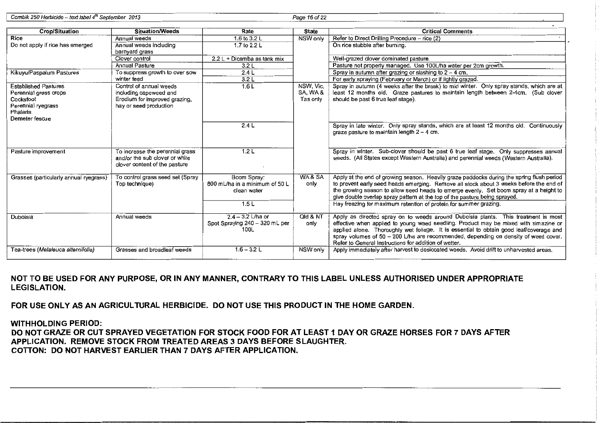<sup>I</sup>Combik 250 Herbicide- text label4h September 2013 Page 16of22

| Crop/Situation                         | Situation/Weeds                                    | Rate                           | <b>State</b> | <b>Critical Comments</b>                                                                  |
|----------------------------------------|----------------------------------------------------|--------------------------------|--------------|-------------------------------------------------------------------------------------------|
| Rice                                   | Annual weeds                                       | 1.6 to 3.2 L                   | NSW only     | Refer to Direct Drilling Procedure - rice (2)                                             |
| Do not apply if rice has emerged       | Annual weeds including                             | 1.7 to 2.2 L                   |              | On rice stubble after burning.                                                            |
|                                        | barnyard grass                                     |                                |              |                                                                                           |
|                                        | Clover control                                     | $2.2 L + Dicamba$ as tank mix  |              | Well-grazed clover dominated pasture.                                                     |
|                                        | <b>Annual Pasture</b>                              | 3.2L                           |              | Pasture not properly managed. Use 100L/ha water per 2cm growth.                           |
| Kikuyu/Paspalum Pastures               | To suppress growth to over sow                     | 2.4L                           |              | Spray in autumn after grazing or slashing to $2 - 4$ cm.                                  |
|                                        | winter feed                                        | 3.2L                           |              | For early spraying (February or March) or if lightly grazed.                              |
| <b>Established Pastures</b>            | Control of annual weeds                            | 1.6L                           | NSW, Vic.    | Spray in autumn (4 weeks after the break) to mid winter. Only spray stands, which are at  |
| Perennial grass crops                  | including capeweed and                             |                                | SA, WA&      | least 12 months old. Graze pastures to maintain length between 2-4cm. (Sub clover         |
| Cocksfoot                              | Erodium for improved grazing,                      |                                | Tas only     | should be past 6 true leaf stage).                                                        |
| Perennial ryegrass                     | hay or seed production                             |                                |              |                                                                                           |
| Phalaris                               |                                                    |                                |              |                                                                                           |
| Demeter fescue                         |                                                    |                                |              |                                                                                           |
|                                        |                                                    | 2.4L                           |              | Spray in late winter. Only spray stands, which are at least 12 months old. Continuously   |
|                                        |                                                    |                                |              | graze pasture to maintain length $2 - 4$ cm.                                              |
|                                        |                                                    |                                |              |                                                                                           |
|                                        |                                                    |                                |              |                                                                                           |
| Pasture improvement                    | To increase the perennial grass                    | 1.2L                           |              | Spray in winter. Sub-clover should be past 6 true leaf stage. Only suppresses annual      |
|                                        | and/or the sub clover or white                     |                                |              | weeds. (All States except Western Australia) and perennial weeds (Western Australia).     |
|                                        | clover content of the pasture                      |                                |              |                                                                                           |
|                                        |                                                    | Boom Spray:                    | WA& SA       | Apply at the end of growing season. Heavily graze paddocks during the spring flush period |
| Grasses (particularly annual ryegrass) | To control grass seed set (Spray<br>Top technique) | 800 mL/ha in a minimum of 50 L | only         | to prevent early seed heads emerging. Remove all stock about 3 weeks before the end of    |
|                                        |                                                    | clean water                    |              | the growing season to allow seed heads to emerge evenly. Set boom spray at a height to    |
|                                        |                                                    |                                |              | give double overlap spray pattern at the top of the pasture being sprayed.                |
|                                        |                                                    | 1.5L                           |              | Hay freezing for maximum retention of protein for summer grazing.                         |
|                                        |                                                    |                                |              |                                                                                           |
| Duboisia                               | Annual weeds                                       | $2.4 - 3.2$ L/ha or            | Qld & NT     | Apply as directed spray on to weeds around Duboisia plants. This treatment is most        |
|                                        |                                                    | Spot Spraying 240 - 320 mL per | only         | effective when applied to young weed seedling. Product may be mixed with simazine or      |
|                                        |                                                    | 100L                           |              | applied alone. Thoroughly wet foliage. It is essential to obtain good leaf/coverage and   |
|                                        |                                                    |                                |              | spray volumes of $50 - 200$ L/ha are recommended, depending on density of weed cover.     |
|                                        |                                                    |                                |              | Refer to General Instructions for addition of wetter.                                     |
| Tea-trees (Melaleuca alternifolia)     | Grasses and broadleaf weeds                        | $1.6 - 3.2$ L                  | NSW only     | Apply immediately after harvest to desiccated weeds. Avoid drift to unharvested areas.    |
|                                        |                                                    |                                |              |                                                                                           |

NOT TO BE USED FOR ANY PURPOSE, OR IN ANY MANNER, CONTRARY TO THIS LABEL UNLESS AUTHORISED UNDER APPROPRIATE LEGISLATION.

FOR USE ONLY AS AN AGRICULTURAL HERBICIDE. DO NOT USE THIS PRODUCT IN THE HOME GARDEN.

WITHHOLDING PERIOD:

DO NOT GRAZE OR CUT SPRAYED VEGETATION FOR STOCK FOOD FOR AT LEAST 1 DAY OR GRAZE HORSES FOR 7 DAYS AFTER APPLICATION. REMOVE STOCK FROM TREATED AREAS 3 DAYS BEFORE SLAUGHTER. COTTON: DO NOT HARVEST EARLIER THAN 7 DAYS AFTER APPLICATION.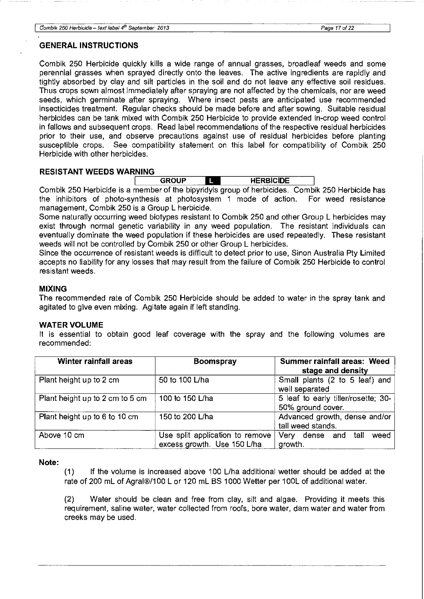#### **GENERAL INSTRUCTIONS**

Combik 250 Herbicide quickly kills a wide range of annual grasses, broadleaf weeds and some perennial grasses when sprayed directly onto the leaves. The active ingredients are rapidly and tightly absorbed by clay and silt particles in the soil and do not leave any effective soil residues. Thus crops sown almost immediately after spraying are not affected by the chemicals, nor are weed seeds, which germinate after spraying. Where insect pests are anticipated use recommended insecticides treatment. Regular checks should be made before and after sowing. Suitable residual herbicides can be tank mixed with Combik 250 Herbicide to provide extended in-crop weed control in fallows and subsequent crops. Read label recommendations of the respective residual herbicides prior to their use, and observe precautions against use of residual herbicides before planting susceptible crops. See compatibility statement on this label for compatibility of Combik 250 Herbicide with other herbicides.

#### **RESISTANT WEEDS WARNING**

| <b>NING</b>       |                               |  |
|-------------------|-------------------------------|--|
| GROUP<br>-------- | <br><b>HERBICIDE</b><br>_____ |  |

Combik 250 Herbicide is a member of the bipyridyls group of herbicides. Combik 250 Herbicide has the inhibitors of photo-synthesis at photosystem 1 mode of action. For weed resistance management, Combik 250 is a Group L herbicide.

Some naturally occurring weed biotypes resistant to Combik 250 and other Group L herbicides may exist through normal genetic variability in any weed population. The resistant individuals can eventually dominate the weed population if these herbicides are used repeatedly. These resistant weeds will not be controlled by Combik 250 or other Group L herbicides.

Since the occurrence of resistant weeds is difficult to detect prior to use, Sinon Australia Pty Limited accepts no liability for any losses that may result from the failure of Combik 250 Herbicide to control resistant weeds.

#### **MIXING**

The recommended rate of Combik 250 Herbicide should be added to water in the spray tank and agitated to give even mixing. Agitate again if left standing.

#### **WATER VOLUME**

It is essential to obtain good leaf coverage with the spray and the following volumes are recommended:

| <b>Winter rainfall areas</b>    | <b>Boomspray</b>                | Summer rainfall areas: Weed         |
|---------------------------------|---------------------------------|-------------------------------------|
|                                 |                                 | stage and density                   |
| Plant height up to 2 cm         | 50 to 100 L/ha                  | Small plants (2 to 5 leaf) and      |
|                                 |                                 | well separated                      |
| Plant height up to 2 cm to 5 cm | 100 to 150 L/ha                 | 5 leaf to early tiller/rosette; 30- |
|                                 |                                 | 50% ground cover.                   |
| Plant height up to 6 to 10 cm   | 150 to 200 L/ha                 | Advanced growth, dense and/or       |
|                                 |                                 | tall weed stands.                   |
| Above 10 cm                     | Use split application to remove | tall<br>Very dense and<br>weed      |
|                                 | excess growth. Use 150 L/ha     | growth.                             |

**Note:** 

(1) If the volume is increased above 100 L/ha additional wetter should be added at the rate of 200 mL of Agral®/100 L or 120 mL BS 1000 Wetter per 100L of additional water.

(2) Water should be clean and free from clay, silt and algae. Providing it meets this requirement, saline water, water collected from roofs, bore water, dam water and water from creeks may be used.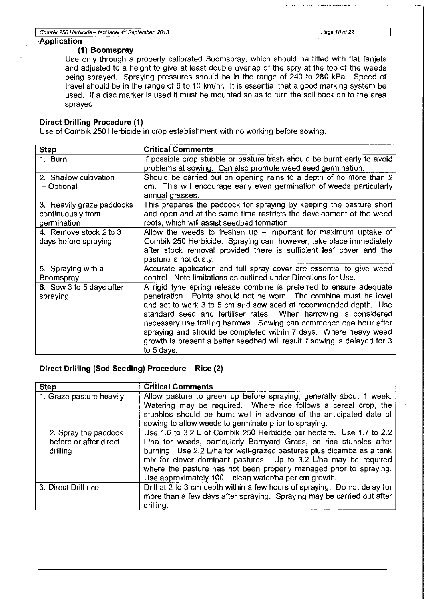#### **·Application**

#### **(1) Boomspray**

Use only through a properly calibrated Boomspray, which should be fitted with flat fanjets and adjusted to a height to give at least double overlap of the spry at the top of the weeds being sprayed. Spraying pressures should be in the range of 240 to 280 kPa. Speed of travel should be in the range of 6 to 10 km/hr. It is essential that a good marking system be used. If a disc marker is used it must be mounted so as to turn the soil back on to the area sprayed.

#### **Direct Drilling Procedure (1)**

Use of Combik 250 Herbicide in crop establishment with no working before sowing.

| <b>Step</b>               | <b>Critical Comments</b>                                                  |
|---------------------------|---------------------------------------------------------------------------|
| 1. Burn                   | If possible crop stubble or pasture trash should be burnt early to avoid  |
|                           | problems at sowing. Can also promote weed seed germination.               |
| 2. Shallow cultivation    | Should be carried out on opening rains to a depth of no more than 2       |
| - Optional                | cm. This will encourage early even germination of weeds particularly      |
|                           | annual grasses.                                                           |
| 3. Heavily graze paddocks | This prepares the paddock for spraying by keeping the pasture short       |
| continuously from         | and open and at the same time restricts the development of the weed       |
| germination               | roots, which will assist seedbed formation.                               |
| 4. Remove stock 2 to 3    | Allow the weeds to freshen $up$ – important for maximum uptake of         |
| days before spraying      | Combik 250 Herbicide. Spraying can, however, take place immediately       |
|                           | after stock removal provided there is sufficient leaf cover and the       |
|                           | pasture is not dusty.                                                     |
| 5. Spraying with a        | Accurate application and full spray cover are essential to give weed      |
| <b>Boomspray</b>          | control. Note limitations as outlined under Directions for Use.           |
| 6. Sow 3 to 5 days after  | A rigid tyne spring release combine is preferred to ensure adequate       |
| spraying                  | penetration. Points should not be worn. The combine must be level         |
|                           | and set to work 3 to 5 cm and sow seed at recommended depth. Use          |
|                           | standard seed and fertiliser rates. When harrowing is considered          |
|                           | necessary use trailing harrows. Sowing can commence one hour after        |
|                           | spraying and should be completed within 7 days. Where heavy weed          |
|                           | growth is present a better seedbed will result if sowing is delayed for 3 |
|                           | to 5 days.                                                                |

#### **Direct Drilling (Sod Seeding) Procedure- Rice (2)**

| <b>Step</b>                                                | <b>Critical Comments</b>                                                                                                                                                                                                                                                                                                                                                                                                |
|------------------------------------------------------------|-------------------------------------------------------------------------------------------------------------------------------------------------------------------------------------------------------------------------------------------------------------------------------------------------------------------------------------------------------------------------------------------------------------------------|
| 1. Graze pasture heavily                                   | Allow pasture to green up before spraying, generally about 1 week.<br>Watering may be required. Where rice follows a cereal crop, the<br>stubbles should be burnt well in advance of the anticipated date of<br>sowing to allow weeds to germinate prior to spraying.                                                                                                                                                   |
| 2. Spray the paddock<br>before or after direct<br>drilling | Use 1.6 to 3.2 L of Combik 250 Herbicide per hectare. Use 1.7 to 2.2<br>L/ha for weeds, particularly Barnyard Grass, on rice stubbles after<br>burning. Use 2.2 L/ha for well-grazed pastures plus dicamba as a tank<br>mix for clover dominant pastures. Up to 3.2 L/ha may be required<br>where the pasture has not been properly managed prior to spraying.<br>Use approximately 100 L clean water/ha per cm growth. |
| 3. Direct Drill rice                                       | Drill at 2 to 3 cm depth within a few hours of spraying. Do not delay for<br>more than a few days after spraying. Spraying may be carried out after<br>drilling.                                                                                                                                                                                                                                                        |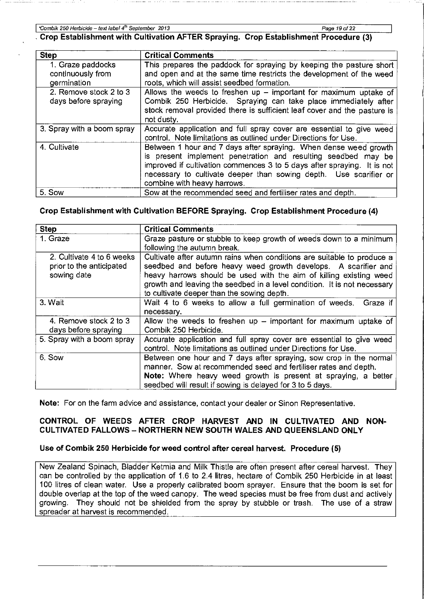**I 'Combik 250 Herbicide- text label4***<sup>1</sup> <sup>h</sup>***September 2013 Page 19 of 22** 

, **Crop Establishment with Cultivation AFTER Spraying. Crop Establishment Procedure** (3)

| <b>Step</b>                | <b>Critical Comments</b>                                                 |
|----------------------------|--------------------------------------------------------------------------|
| 1. Graze paddocks          | This prepares the paddock for spraying by keeping the pasture short      |
| continuously from          | and open and at the same time restricts the development of the weed      |
| germination                | roots, which will assist seedbed formation.                              |
| 2. Remove stock 2 to 3     | Allows the weeds to freshen up $-$ important for maximum uptake of       |
| days before spraying       | Combik 250 Herbicide. Spraying can take place immediately after          |
|                            | stock removal provided there is sufficient leaf cover and the pasture is |
|                            | not dusty.                                                               |
| 3. Spray with a boom spray | Accurate application and full spray cover are essential to give weed     |
|                            | control. Note limitations as outlined under Directions for Use.          |
| 4. Cultivate               | Between 1 hour and 7 days after spraying. When dense weed growth         |
|                            | is present implement penetration and resulting seedbed may be            |
|                            | improved if cultivation commences 3 to 5 days after spraying. It is not  |
|                            | necessary to cultivate deeper than sowing depth. Use scarifier or        |
|                            | combine with heavy harrows.                                              |
| 5. Sow                     | Sow at the recommended seed and fertiliser rates and depth.              |

# **Crop Establishment with Cultivation BEFORE Spraying. Crop Establishment Procedure (4)**

| <b>Step</b>                                                          | <b>Critical Comments</b>                                                                                                                                                                                                                                                                                                                 |
|----------------------------------------------------------------------|------------------------------------------------------------------------------------------------------------------------------------------------------------------------------------------------------------------------------------------------------------------------------------------------------------------------------------------|
| 1. Graze                                                             | Graze pasture or stubble to keep growth of weeds down to a minimum<br>following the autumn break.                                                                                                                                                                                                                                        |
| 2. Cultivate 4 to 6 weeks<br>prior to the anticipated<br>sowing date | Cultivate after autumn rains when conditions are suitable to produce a<br>seedbed and before heavy weed growth develops. A scarifier and<br>heavy harrows should be used with the aim of killing existing weed<br>growth and leaving the seedbed in a level condition. It is not necessary<br>to cultivate deeper than the sowing depth. |
| 3. Wait                                                              | Wait 4 to 6 weeks to allow a full germination of weeds. Graze if<br>necessary.                                                                                                                                                                                                                                                           |
| 4. Remove stock 2 to 3<br>days before spraying                       | Allow the weeds to freshen up $-$ important for maximum uptake of<br>Combik 250 Herbicide.                                                                                                                                                                                                                                               |
| 5. Spray with a boom spray                                           | Accurate application and full spray cover are essential to give weed<br>control. Note limitations as outlined under Directions for Use.                                                                                                                                                                                                  |
| 6. Sow                                                               | Between one hour and 7 days after spraying, sow crop in the normal<br>manner. Sow at recommended seed and fertiliser rates and depth.<br>Note: Where heavy weed growth is present at spraying, a better<br>seedbed will result if sowing is delayed for 3 to 5 days.                                                                     |

**Note:** For on the farm advice and assistance, contact your dealer or Sinon Representative.

### **CONTROL OF WEEDS AFTER CROP HARVEST AND IN CULTIVATED AND NON-CULTIVATED FALLOWS- NORTHERN NEW SOUTH WALES AND QUEENSLAND ONLY**

# **Use of Combik 250 Herbicide for weed control after cereal harvest. Procedure (5)**

New Zealand Spinach, Bladder Ketmia and Milk Thistle are often present after cereal harvest. They can be controlled by the application of 1.6 to 2.4 litres, hectare of Combik 250 Herbicide in at least 100 litres of clean water. Use a properly calibrated boom sprayer. Ensure that the boom is set for double overlap at the top of the weed canopy. The weed species must be free from dust and actively growing. They should not be shielded from the spray by stubble or trash. The use of a straw spreader at harvest is recommended.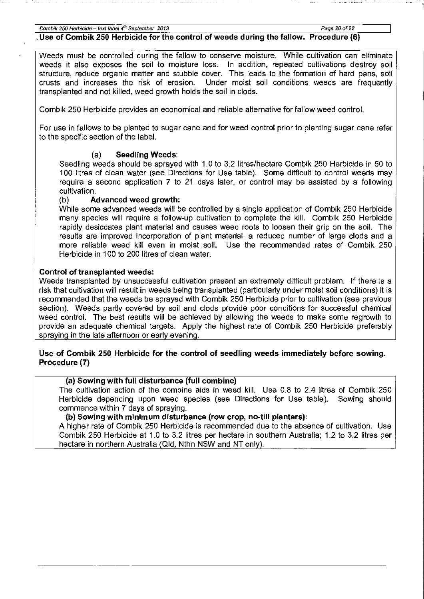**I Combik 250 Herbicide -text fabef** *.fh* **September 2013 Page 20 of22** 

## . **Use of Combik 250 Herbicide for the control of weeds during the fallow. Procedure (6)**

Weeds must be controlled during the fallow to conserve moisture. While cultivation can eliminate weeds it also exposes the soil to moisture loss. In addition, repeated cultivations destroy soil structure, reduce organic matter and stubble cover. This leads to the formation of hard pans, soil crusts and increases the risk of erosion. Under moist soil conditions weeds are frequently Under moist soil conditions weeds are frequently transplanted and not killed, weed growth holds the soil in clods.

Combik 250 Herbicide provides an economical and reliable alternative for fallow weed control.

For use in fallows to be planted to sugar cane and for weed control prior to planting sugar cane refer to the specific section of the label.

# (a) **Seedling Weeds:**

Seedling weeds should be sprayed with 1.0 to 3.2 litres/hectare Combik 250 Herbicide in 50 to 100 litres of clean water (see Directions for Use table). Some difficult to control weeds may require a second application 7 to 21 days later, or control may be assisted by a following cultivation.

# (b) **Advanced weed growth:**

While some advanced weeds will be controlled by a single application of Combik 250 Herbicide many species will require a follow-up cultivation to complete the kill. Combik 250 Herbicide rapidly desiccates plant material and causes weed roots to loosen their grip on the soil. The results are improved incorporation of plant material, a reduced number of large clods and a more reliable weed kill even in moist soil. Use the recommended rates of Combik 250 Herbicide in 100 to 200 litres of clean water.

# **Control of transplanted weeds:**

Weeds transplanted by unsuccessful cultivation present an extremely difficult problem. If there is a risk that cultivation will result in weeds being transplanted (particularly under moist soil conditions) it is recommended that the weeds be sprayed with Combik 250 Herbicide prior to cultivation (see previous section). Weeds partly covered by soil and clods provide poor conditions for successful chemical weed control. The best results will be achieved by allowing the weeds to make some regrowth to provide an adequate chemical targets. Apply the highest rate of Combik 250 Herbicide preferably spraying in the late afternoon or early evening.

#### **Use of Combik 250 Herbicide for the control of seedling weeds immediately before sowing. Procedure (7)**

## **(a) Sowing with full disturbance (full combine)**

The cultivation action of the combine aids in weed kill. Use 0.8 to 2.4 litres of Combik 250 Herbicide depending upon weed species (see Directions for Use table). Sowing should commence within 7 days of spraying.

## **(b) Sowing with minimum disturbance (row crop, no-till planters):**

A higher rate of Combik 250 Herbicide is recommended due to the absence of cultivation. Use Combik 250 Herbicide at 1.0 to 3.2 litres per hectare in southern Australia; 1.2 to 3.2 litres per hectare in northern Australia (Qid, Nthn NSW and NT only).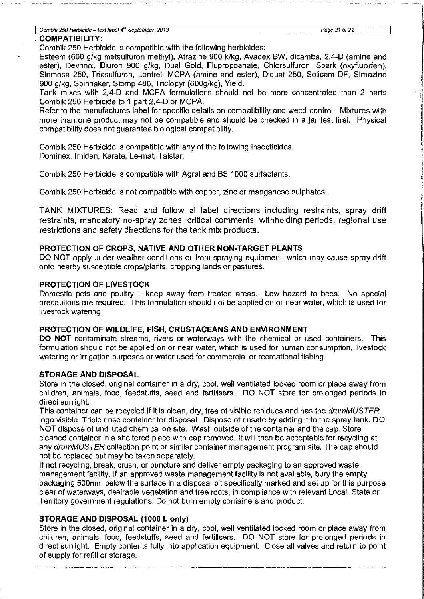#### **I Combik 250 Herbicide- text label 4***<sup>1</sup> <sup>h</sup>***September 2013 Page 21 of 22**

#### . **COMPATIBILITY:**

Combik 250 Herbicide is compatible with the following herbicides:

Esteem (600 g/kg metsulfuron methyl), Atrazine 900 klkg, Avadex BW, dicamba, 2,4-D (amine and ester), Devrinol, Diuron 900 g/kg, Dual Gold, Flupropoanate, Chlorsulfuron, Spark (oxyfluorfen), Sinmosa 250, Triasulfuron, Lontrel, MCPA (amine and ester), Diquat 250, Solicam DF, Simazine 900 g/kg, Spinnaker, Stomp 480, Triclopyr (600g/kg), Yield.

Tank mixes with 2,4-D and MCPA formulations should not be more concentrated than 2 parts Combik 250 Herbicide to 1 part 2,4-D or MCPA.

Refer to the manufactures label for specific details on compatibility and weed control. Mixtures with more than one product may not be compatible and should be checked in a jar test first. Physical compatibility does not guarantee biological compatibility.

Combik 250 Herbicide is compatible with any of the following insecticides. Dominex, lmidan, Karate, Le-mat, Talstar.

Combik 250 Herbicide is compatible with Agral and BS 1000 surfactants.

Combik 250 Herbicide is not compatible with copper, zinc or manganese sulphates.

TANK MIXTURES: Read and follow al label directions including restraints, spray drift restraints, mandatory no-spray zones, critical comments, withholding periods, regional use restrictions and safety directions for the tank mix products.

#### **PROTECTION OF CROPS, NATIVE AND OTHER NON-TARGET PLANTS**

DO NOT apply under weather conditions or from spraying equipment, which may cause spray drift onto nearby susceptible crops/plants, cropping lands or pastures.

#### **PROTECTION OF LIVESTOCK**

Domestic pets and poultry - keep away from treated areas. Low hazard to bees. No special precautions are required. This formulation should not be applied on or near water, which is used for livestock watering.

#### **PROTECTION OF WILDLIFE, FISH, CRUSTACEANS AND ENVIRONMENT**

**DO NOT** contaminate streams, rivers or waterways with the chemical or used containers. This formulation should not be applied on or near water, which is used for human consumption, livestock watering or irrigation purposes or water used for commercial or recreational fishing.

#### **STORAGE AND DISPOSAL**

Store in the closed, original container in a dry, cool, well ventilated locked room or place away from children, animals, food, feedstuffs, seed and fertilisers. DO NOT store for prolonged periods in direct sunlight.

This container can be recycled if it is clean, dry, free of visible residues and has the *drumMUSTER* logo visible. Triple rinse container for disposal. Dispose of rinsate by adding it to the spray tank. DO NOT dispose of undiluted chemical on site. Wash outside of the container and the cap. Store cleaned container in a sheltered place with cap removed. It will then be acceptable for recycling at any drumMUSTER collection point or similar container management program site. The cap should not be replaced but may be taken separately.

If not recycling, break, crush, or puncture and deliver empty packaging to an approved waste management facility. If an approved waste management facility is not available, bury the empty packaging 500mm below the surface in a disposal pit specifically marked and set up for this purpose clear of waterways, desirable vegetation and tree roots, in compliance with relevant Local, State or Territory government regulations. Do not burn empty containers and product.

#### **STORAGE AND DISPOSAL (1000 L only)**

Store in the closed, original container in a dry, cool, well ventilated locked room or place away from children, animals, food, feedstuffs, seed and fertilisers. DO NOT store for prolonged periods in direct sunlight. Empty contents fully into application equipment. Close all valves and return to point of supply for refill or storage.